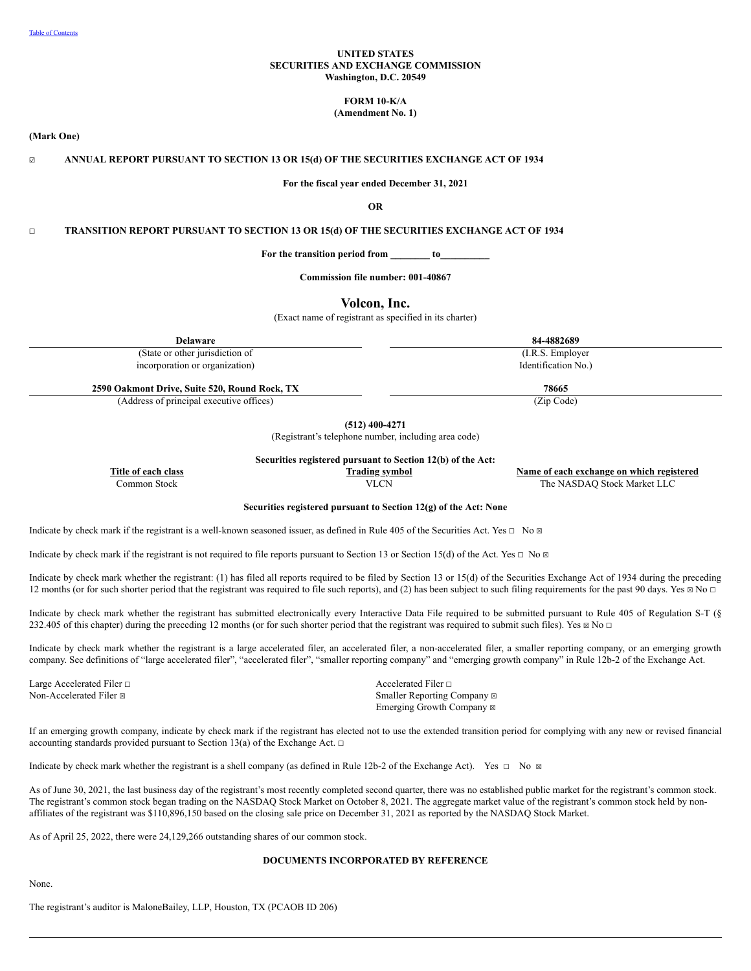## **UNITED STATES SECURITIES AND EXCHANGE COMMISSION Washington, D.C. 20549**

# **FORM 10-K/A**

**(Amendment No. 1)**

**(Mark One)**

☑ **ANNUAL REPORT PURSUANT TO SECTION 13 OR 15(d) OF THE SECURITIES EXCHANGE ACT OF 1934**

**For the fiscal year ended December 31, 2021**

**OR**

☐ **TRANSITION REPORT PURSUANT TO SECTION 13 OR 15(d) OF THE SECURITIES EXCHANGE ACT OF 1934**

**For the transition period from \_\_\_\_\_\_\_\_ to\_\_\_\_\_\_\_\_\_\_**

**Commission file number: 001-40867**

**Volcon, Inc.**

(Exact name of registrant as specified in its charter)

**Delaware 84-4882689** (State or other jurisdiction of incorporation or organization) (I.R.S. Employer Identification No.) **2590 Oakmont Drive, Suite 520, Round Rock, TX 78665**

(Address of principal executive offices) (Zip Code)

**(512) 400-4271**

(Registrant's telephone number, including area code)

**Securities registered pursuant to Section 12(b) of the Act:**

**Title** of each class **the class class** *Trading symbol* **<b>***Name* **of each exchange on** which registered Common Stock VLCN The NASDAQ Stock Market LLC

**Securities registered pursuant to Section 12(g) of the Act: None**

Indicate by check mark if the registrant is a well-known seasoned issuer, as defined in Rule 405 of the Securities Act. Yes  $\Box$  No  $\Box$ 

Indicate by check mark if the registrant is not required to file reports pursuant to Section 13 or Section 15(d) of the Act. Yes  $\Box$  No  $\Box$ 

Indicate by check mark whether the registrant: (1) has filed all reports required to be filed by Section 13 or 15(d) of the Securities Exchange Act of 1934 during the preceding 12 months (or for such shorter period that the registrant was required to file such reports), and (2) has been subject to such filing requirements for the past 90 days. Yes ⊠ No □

Indicate by check mark whether the registrant has submitted electronically every Interactive Data File required to be submitted pursuant to Rule 405 of Regulation S-T (§ 232.405 of this chapter) during the preceding 12 months (or for such shorter period that the registrant was required to submit such files). Yes  $\boxtimes$  No  $\Box$ 

Indicate by check mark whether the registrant is a large accelerated filer, an accelerated filer, a non-accelerated filer, a smaller reporting company, or an emerging growth company. See definitions of "large accelerated filer", "accelerated filer", "smaller reporting company" and "emerging growth company" in Rule 12b-2 of the Exchange Act.

Large Accelerated Filer □ and notice in the set of the set of the set of the set of the set of the set of the set of the set of the set of the set of the set of the set of the set of the set of the set of the set of the s

Non-Accelerated Filer ⊠ Smaller Reporting Company ⊠ Emerging Growth Company  $\boxtimes$ 

If an emerging growth company, indicate by check mark if the registrant has elected not to use the extended transition period for complying with any new or revised financial accounting standards provided pursuant to Section 13(a) of the Exchange Act.  $\Box$ 

Indicate by check mark whether the registrant is a shell company (as defined in Rule 12b-2 of the Exchange Act). Yes  $\Box$  No  $\boxtimes$ 

As of June 30, 2021, the last business day of the registrant's most recently completed second quarter, there was no established public market for the registrant's common stock. The registrant's common stock began trading on the NASDAQ Stock Market on October 8, 2021. The aggregate market value of the registrant's common stock held by nonaffiliates of the registrant was \$110,896,150 based on the closing sale price on December 31, 2021 as reported by the NASDAQ Stock Market.

As of April 25, 2022, there were 24,129,266 outstanding shares of our common stock.

#### **DOCUMENTS INCORPORATED BY REFERENCE**

None.

The registrant's auditor is MaloneBailey, LLP, Houston, TX (PCAOB ID 206)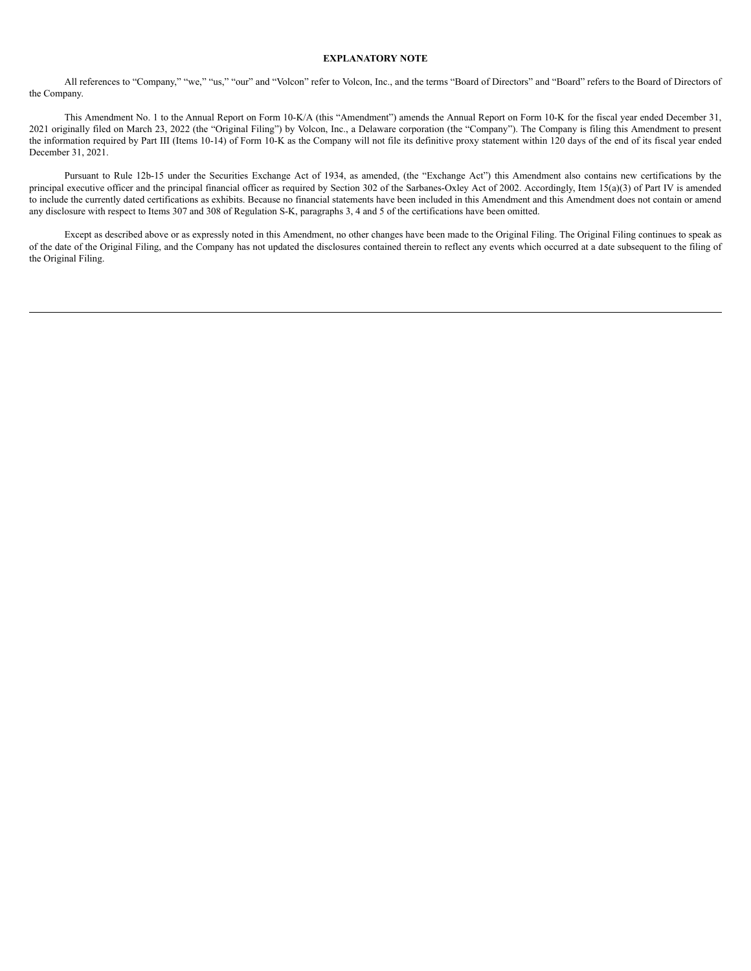#### **EXPLANATORY NOTE**

All references to "Company," "we," "us," "our" and "Volcon" refer to Volcon, Inc., and the terms "Board of Directors" and "Board" refers to the Board of Directors of the Company.

This Amendment No. 1 to the Annual Report on Form 10-K/A (this "Amendment") amends the Annual Report on Form 10-K for the fiscal year ended December 31, 2021 originally filed on March 23, 2022 (the "Original Filing") by Volcon, Inc., a Delaware corporation (the "Company"). The Company is filing this Amendment to present the information required by Part III (Items 10-14) of Form 10-K as the Company will not file its definitive proxy statement within 120 days of the end of its fiscal year ended December 31, 2021.

Pursuant to Rule 12b-15 under the Securities Exchange Act of 1934, as amended, (the "Exchange Act") this Amendment also contains new certifications by the principal executive officer and the principal financial officer as required by Section 302 of the Sarbanes-Oxley Act of 2002. Accordingly, Item 15(a)(3) of Part IV is amended to include the currently dated certifications as exhibits. Because no financial statements have been included in this Amendment and this Amendment does not contain or amend any disclosure with respect to Items 307 and 308 of Regulation S-K, paragraphs 3, 4 and 5 of the certifications have been omitted.

Except as described above or as expressly noted in this Amendment, no other changes have been made to the Original Filing. The Original Filing continues to speak as of the date of the Original Filing, and the Company has not updated the disclosures contained therein to reflect any events which occurred at a date subsequent to the filing of the Original Filing.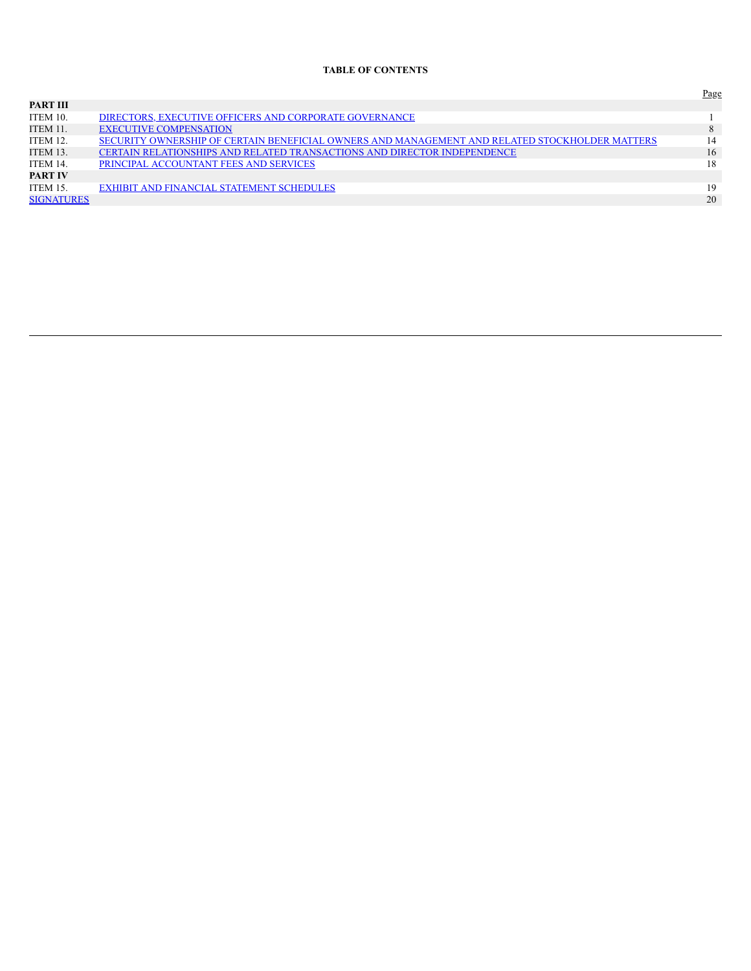## **TABLE OF CONTENTS**

<span id="page-2-0"></span>

|                   |                                                                                                | Page |
|-------------------|------------------------------------------------------------------------------------------------|------|
| PART III          |                                                                                                |      |
| ITEM 10.          | DIRECTORS, EXECUTIVE OFFICERS AND CORPORATE GOVERNANCE                                         |      |
| ITEM 11.          | <b>EXECUTIVE COMPENSATION</b>                                                                  | 8    |
| ITEM 12.          | SECURITY OWNERSHIP OF CERTAIN BENEFICIAL OWNERS AND MANAGEMENT AND RELATED STOCKHOLDER MATTERS | 14   |
| ITEM 13.          | CERTAIN RELATIONSHIPS AND RELATED TRANSACTIONS AND DIRECTOR INDEPENDENCE                       | 16   |
| ITEM 14.          | PRINCIPAL ACCOUNTANT FEES AND SERVICES                                                         | 18   |
| <b>PART IV</b>    |                                                                                                |      |
| ITEM 15.          | EXHIBIT AND FINANCIAL STATEMENT SCHEDULES                                                      | 19   |
| <b>SIGNATURES</b> |                                                                                                | 20   |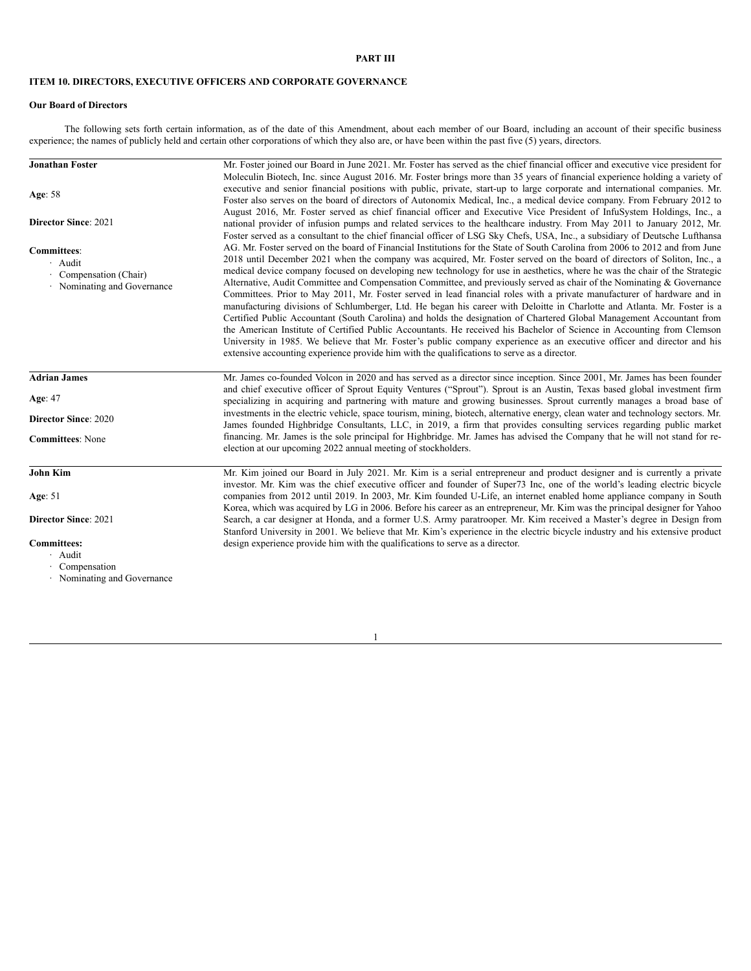## **PART III**

# <span id="page-3-0"></span>**ITEM 10. DIRECTORS, EXECUTIVE OFFICERS AND CORPORATE GOVERNANCE**

# **Our Board of Directors**

The following sets forth certain information, as of the date of this Amendment, about each member of our Board, including an account of their specific business experience; the names of publicly held and certain other corporations of which they also are, or have been within the past five (5) years, directors.

| <b>Jonathan Foster</b>      | Mr. Foster joined our Board in June 2021. Mr. Foster has served as the chief financial officer and executive vice president for                                                                                                                             |
|-----------------------------|-------------------------------------------------------------------------------------------------------------------------------------------------------------------------------------------------------------------------------------------------------------|
|                             | Moleculin Biotech, Inc. since August 2016. Mr. Foster brings more than 35 years of financial experience holding a variety of<br>executive and senior financial positions with public, private, start-up to large corporate and international companies. Mr. |
| Age: $58$                   | Foster also serves on the board of directors of Autonomix Medical, Inc., a medical device company. From February 2012 to                                                                                                                                    |
|                             | August 2016, Mr. Foster served as chief financial officer and Executive Vice President of InfuSystem Holdings, Inc., a                                                                                                                                      |
| <b>Director Since: 2021</b> | national provider of infusion pumps and related services to the healthcare industry. From May 2011 to January 2012, Mr.                                                                                                                                     |
|                             | Foster served as a consultant to the chief financial officer of LSG Sky Chefs, USA, Inc., a subsidiary of Deutsche Lufthansa                                                                                                                                |
| <b>Committees:</b>          | AG. Mr. Foster served on the board of Financial Institutions for the State of South Carolina from 2006 to 2012 and from June                                                                                                                                |
| $\cdot$ Audit               | 2018 until December 2021 when the company was acquired, Mr. Foster served on the board of directors of Soliton, Inc., a                                                                                                                                     |
| Compensation (Chair)        | medical device company focused on developing new technology for use in aesthetics, where he was the chair of the Strategic                                                                                                                                  |
| · Nominating and Governance | Alternative, Audit Committee and Compensation Committee, and previously served as chair of the Nominating & Governance                                                                                                                                      |
|                             | Committees. Prior to May 2011, Mr. Foster served in lead financial roles with a private manufacturer of hardware and in                                                                                                                                     |
|                             | manufacturing divisions of Schlumberger, Ltd. He began his career with Deloitte in Charlotte and Atlanta. Mr. Foster is a                                                                                                                                   |
|                             | Certified Public Accountant (South Carolina) and holds the designation of Chartered Global Management Accountant from<br>the American Institute of Certified Public Accountants. He received his Bachelor of Science in Accounting from Clemson             |
|                             | University in 1985. We believe that Mr. Foster's public company experience as an executive officer and director and his                                                                                                                                     |
|                             | extensive accounting experience provide him with the qualifications to serve as a director.                                                                                                                                                                 |
|                             |                                                                                                                                                                                                                                                             |
| <b>Adrian James</b>         | Mr. James co-founded Volcon in 2020 and has served as a director since inception. Since 2001, Mr. James has been founder                                                                                                                                    |
|                             | and chief executive officer of Sprout Equity Ventures ("Sprout"). Sprout is an Austin, Texas based global investment firm                                                                                                                                   |
| Age: 47                     | specializing in acquiring and partnering with mature and growing businesses. Sprout currently manages a broad base of                                                                                                                                       |
| <b>Director Since: 2020</b> | investments in the electric vehicle, space tourism, mining, biotech, alternative energy, clean water and technology sectors. Mr.                                                                                                                            |
|                             | James founded Highbridge Consultants, LLC, in 2019, a firm that provides consulting services regarding public market<br>financing. Mr. James is the sole principal for Highbridge. Mr. James has advised the Company that he will not stand for re-         |
| <b>Committees:</b> None     | election at our upcoming 2022 annual meeting of stockholders.                                                                                                                                                                                               |
|                             |                                                                                                                                                                                                                                                             |
| <b>John Kim</b>             | Mr. Kim joined our Board in July 2021. Mr. Kim is a serial entrepreneur and product designer and is currently a private                                                                                                                                     |
|                             | investor. Mr. Kim was the chief executive officer and founder of Super73 Inc, one of the world's leading electric bicycle                                                                                                                                   |
| Age: 51                     | companies from 2012 until 2019. In 2003, Mr. Kim founded U-Life, an internet enabled home appliance company in South                                                                                                                                        |
| <b>Director Since: 2021</b> | Korea, which was acquired by LG in 2006. Before his career as an entrepreneur, Mr. Kim was the principal designer for Yahoo<br>Search, a car designer at Honda, and a former U.S. Army paratrooper. Mr. Kim received a Master's degree in Design from       |
|                             | Stanford University in 2001. We believe that Mr. Kim's experience in the electric bicycle industry and his extensive product                                                                                                                                |
| <b>Committees:</b>          | design experience provide him with the qualifications to serve as a director.                                                                                                                                                                               |
| · Audit                     |                                                                                                                                                                                                                                                             |
| Compensation                |                                                                                                                                                                                                                                                             |
| · Nominating and Governance |                                                                                                                                                                                                                                                             |
|                             |                                                                                                                                                                                                                                                             |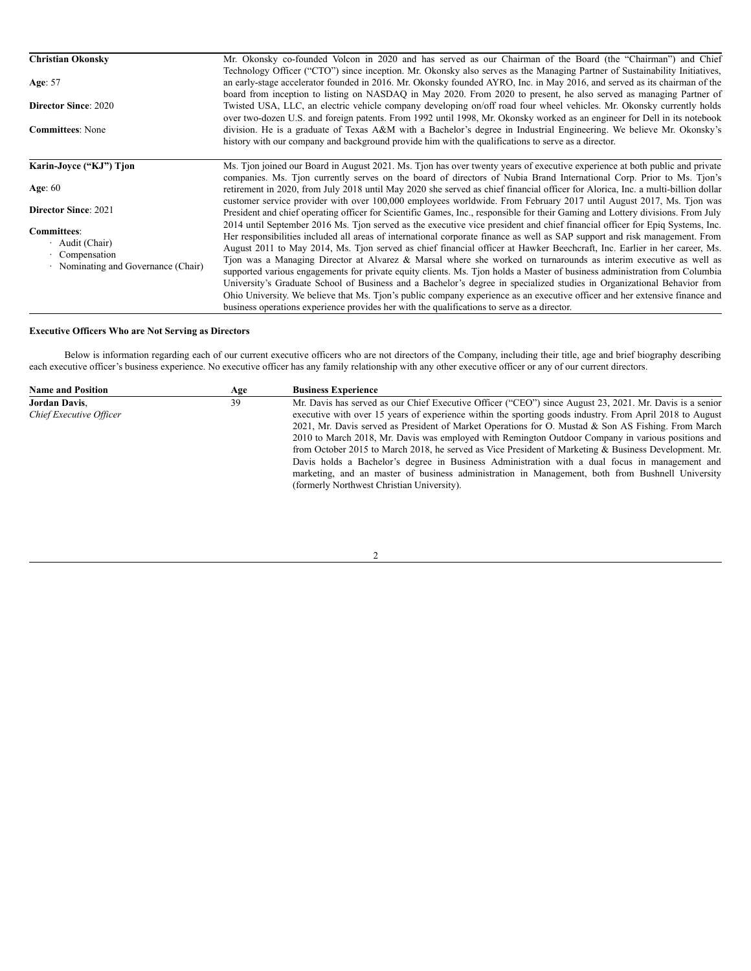| <b>Christian Okonsky</b>          | Mr. Okonsky co-founded Volcon in 2020 and has served as our Chairman of the Board (the "Chairman") and Chief                     |
|-----------------------------------|----------------------------------------------------------------------------------------------------------------------------------|
|                                   | Technology Officer ("CTO") since inception. Mr. Okonsky also serves as the Managing Partner of Sustainability Initiatives,       |
| Age: 57                           | an early-stage accelerator founded in 2016. Mr. Okonsky founded AYRO, Inc. in May 2016, and served as its chairman of the        |
|                                   | board from inception to listing on NASDAQ in May 2020. From 2020 to present, he also served as managing Partner of               |
| <b>Director Since: 2020</b>       | Twisted USA, LLC, an electric vehicle company developing on/off road four wheel vehicles. Mr. Okonsky currently holds            |
|                                   | over two-dozen U.S. and foreign patents. From 1992 until 1998, Mr. Okonsky worked as an engineer for Dell in its notebook        |
| <b>Committees:</b> None           | division. He is a graduate of Texas A&M with a Bachelor's degree in Industrial Engineering. We believe Mr. Okonsky's             |
|                                   | history with our company and background provide him with the qualifications to serve as a director.                              |
|                                   |                                                                                                                                  |
| Karin-Jovce ("KJ") Tion           | Ms. Tion joined our Board in August 2021. Ms. Tion has over twenty years of executive experience at both public and private      |
|                                   | companies. Ms. Tion currently serves on the board of directors of Nubia Brand International Corp. Prior to Ms. Tion's            |
| Age: $60$                         | retirement in 2020, from July 2018 until May 2020 she served as chief financial officer for Alorica, Inc. a multi-billion dollar |
|                                   | customer service provider with over 100,000 employees worldwide. From February 2017 until August 2017, Ms. Tjon was              |
| <b>Director Since: 2021</b>       | President and chief operating officer for Scientific Games, Inc., responsible for their Gaming and Lottery divisions. From July  |
|                                   |                                                                                                                                  |
| <b>Committees:</b>                | 2014 until September 2016 Ms. Tjon served as the executive vice president and chief financial officer for Epiq Systems, Inc.     |
| $\cdot$ Audit (Chair)             | Her responsibilities included all areas of international corporate finance as well as SAP support and risk management. From      |
| Compensation                      | August 2011 to May 2014, Ms. Tjon served as chief financial officer at Hawker Beechcraft, Inc. Earlier in her career, Ms.        |
| Nominating and Governance (Chair) | Tion was a Managing Director at Alvarez & Marsal where she worked on turnarounds as interim executive as well as                 |
|                                   | supported various engagements for private equity clients. Ms. Tion holds a Master of business administration from Columbia       |
|                                   | University's Graduate School of Business and a Bachelor's degree in specialized studies in Organizational Behavior from          |
|                                   | Ohio University. We believe that Ms. Tjon's public company experience as an executive officer and her extensive finance and      |
|                                   | business operations experience provides her with the qualifications to serve as a director.                                      |

## **Executive Officers Who are Not Serving as Directors**

Below is information regarding each of our current executive officers who are not directors of the Company, including their title, age and brief biography describing each executive officer's business experience. No executive officer has any family relationship with any other executive officer or any of our current directors.

| <b>Name and Position</b> | Age | <b>Business Experience</b>                                                                               |
|--------------------------|-----|----------------------------------------------------------------------------------------------------------|
| <b>Jordan Davis.</b>     | 39  | Mr. Davis has served as our Chief Executive Officer ("CEO") since August 23, 2021. Mr. Davis is a senior |
| Chief Executive Officer  |     | executive with over 15 years of experience within the sporting goods industry. From April 2018 to August |
|                          |     | 2021, Mr. Davis served as President of Market Operations for O. Mustad & Son AS Fishing. From March      |
|                          |     | 2010 to March 2018, Mr. Davis was employed with Remington Outdoor Company in various positions and       |
|                          |     | from October 2015 to March 2018, he served as Vice President of Marketing & Business Development. Mr.    |
|                          |     | Davis holds a Bachelor's degree in Business Administration with a dual focus in management and           |
|                          |     | marketing, and an master of business administration in Management, both from Bushnell University         |
|                          |     | (formerly Northwest Christian University).                                                               |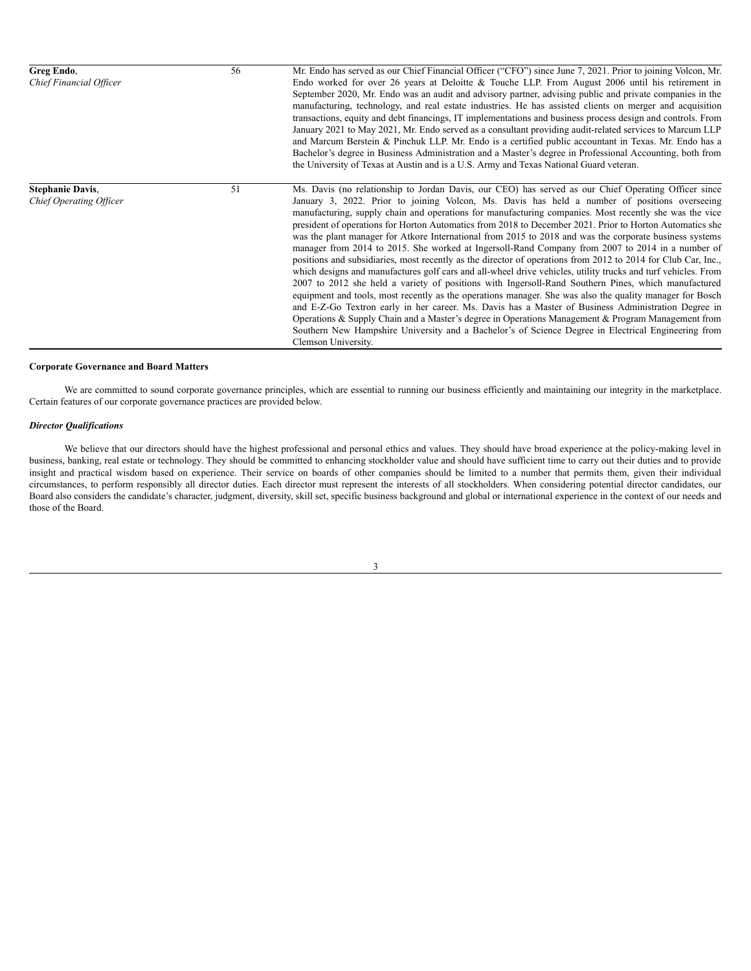| Greg Endo,<br>Chief Financial Officer              | 56 | Mr. Endo has served as our Chief Financial Officer ("CFO") since June 7, 2021. Prior to joining Volcon, Mr.<br>Endo worked for over 26 years at Deloitte & Touche LLP. From August 2006 until his retirement in<br>September 2020, Mr. Endo was an audit and advisory partner, advising public and private companies in the<br>manufacturing, technology, and real estate industries. He has assisted clients on merger and acquisition<br>transactions, equity and debt financings, IT implementations and business process design and controls. From<br>January 2021 to May 2021, Mr. Endo served as a consultant providing audit-related services to Marcum LLP<br>and Marcum Berstein & Pinchuk LLP. Mr. Endo is a certified public accountant in Texas. Mr. Endo has a<br>Bachelor's degree in Business Administration and a Master's degree in Professional Accounting, both from<br>the University of Texas at Austin and is a U.S. Army and Texas National Guard veteran.                                                                                                                                                                                                                                                                                                                                                                                                                                                          |
|----------------------------------------------------|----|--------------------------------------------------------------------------------------------------------------------------------------------------------------------------------------------------------------------------------------------------------------------------------------------------------------------------------------------------------------------------------------------------------------------------------------------------------------------------------------------------------------------------------------------------------------------------------------------------------------------------------------------------------------------------------------------------------------------------------------------------------------------------------------------------------------------------------------------------------------------------------------------------------------------------------------------------------------------------------------------------------------------------------------------------------------------------------------------------------------------------------------------------------------------------------------------------------------------------------------------------------------------------------------------------------------------------------------------------------------------------------------------------------------------------------------------|
| <b>Stephanie Davis,</b><br>Chief Operating Officer | 51 | Ms. Davis (no relationship to Jordan Davis, our CEO) has served as our Chief Operating Officer since<br>January 3, 2022. Prior to joining Volcon, Ms. Davis has held a number of positions overseeing<br>manufacturing, supply chain and operations for manufacturing companies. Most recently she was the vice<br>president of operations for Horton Automatics from 2018 to December 2021. Prior to Horton Automatics she<br>was the plant manager for Atkore International from 2015 to 2018 and was the corporate business systems<br>manager from 2014 to 2015. She worked at Ingersoll-Rand Company from 2007 to 2014 in a number of<br>positions and subsidiaries, most recently as the director of operations from 2012 to 2014 for Club Car, Inc.,<br>which designs and manufactures golf cars and all-wheel drive vehicles, utility trucks and turf vehicles. From<br>2007 to 2012 she held a variety of positions with Ingersoll-Rand Southern Pines, which manufactured<br>equipment and tools, most recently as the operations manager. She was also the quality manager for Bosch<br>and E-Z-Go Textron early in her career. Ms. Davis has a Master of Business Administration Degree in<br>Operations & Supply Chain and a Master's degree in Operations Management & Program Management from<br>Southern New Hampshire University and a Bachelor's of Science Degree in Electrical Engineering from<br>Clemson University. |

## **Corporate Governance and Board Matters**

We are committed to sound corporate governance principles, which are essential to running our business efficiently and maintaining our integrity in the marketplace. Certain features of our corporate governance practices are provided below.

## *Director Qualifications*

We believe that our directors should have the highest professional and personal ethics and values. They should have broad experience at the policy-making level in business, banking, real estate or technology. They should be committed to enhancing stockholder value and should have sufficient time to carry out their duties and to provide insight and practical wisdom based on experience. Their service on boards of other companies should be limited to a number that permits them, given their individual circumstances, to perform responsibly all director duties. Each director must represent the interests of all stockholders. When considering potential director candidates, our Board also considers the candidate's character, judgment, diversity, skill set, specific business background and global or international experience in the context of our needs and those of the Board.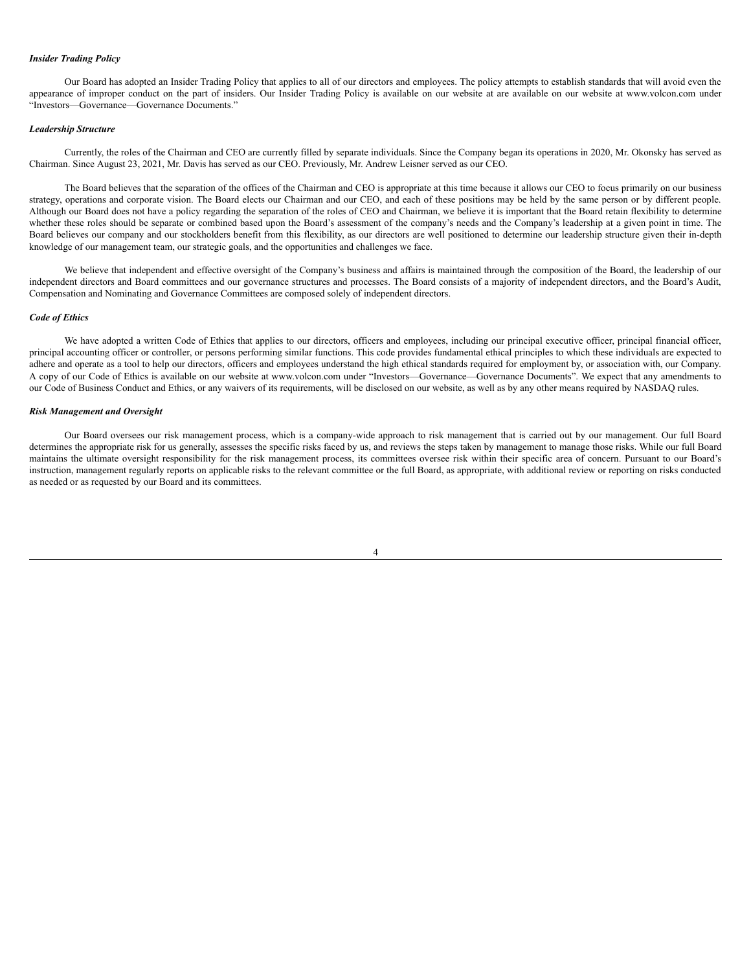#### *Insider Trading Policy*

Our Board has adopted an Insider Trading Policy that applies to all of our directors and employees. The policy attempts to establish standards that will avoid even the appearance of improper conduct on the part of insiders. Our Insider Trading Policy is available on our website at are available on our website at www.volcon.com under "Investors—Governance—Governance Documents."

#### *Leadership Structure*

Currently, the roles of the Chairman and CEO are currently filled by separate individuals. Since the Company began its operations in 2020, Mr. Okonsky has served as Chairman. Since August 23, 2021, Mr. Davis has served as our CEO. Previously, Mr. Andrew Leisner served as our CEO.

The Board believes that the separation of the offices of the Chairman and CEO is appropriate at this time because it allows our CEO to focus primarily on our business strategy, operations and corporate vision. The Board elects our Chairman and our CEO, and each of these positions may be held by the same person or by different people. Although our Board does not have a policy regarding the separation of the roles of CEO and Chairman, we believe it is important that the Board retain flexibility to determine whether these roles should be separate or combined based upon the Board's assessment of the company's needs and the Company's leadership at a given point in time. The Board believes our company and our stockholders benefit from this flexibility, as our directors are well positioned to determine our leadership structure given their in-depth knowledge of our management team, our strategic goals, and the opportunities and challenges we face.

We believe that independent and effective oversight of the Company's business and affairs is maintained through the composition of the Board, the leadership of our independent directors and Board committees and our governance structures and processes. The Board consists of a majority of independent directors, and the Board's Audit, Compensation and Nominating and Governance Committees are composed solely of independent directors.

### *Code of Ethics*

We have adopted a written Code of Ethics that applies to our directors, officers and employees, including our principal executive officer, principal financial officer, principal accounting officer or controller, or persons performing similar functions. This code provides fundamental ethical principles to which these individuals are expected to adhere and operate as a tool to help our directors, officers and employees understand the high ethical standards required for employment by, or association with, our Company. A copy of our Code of Ethics is available on our website at www.volcon.com under "Investors—Governance—Governance Documents". We expect that any amendments to our Code of Business Conduct and Ethics, or any waivers of its requirements, will be disclosed on our website, as well as by any other means required by NASDAQ rules.

#### *Risk Management and Oversight*

Our Board oversees our risk management process, which is a company-wide approach to risk management that is carried out by our management. Our full Board determines the appropriate risk for us generally, assesses the specific risks faced by us, and reviews the steps taken by management to manage those risks. While our full Board maintains the ultimate oversight responsibility for the risk management process, its committees oversee risk within their specific area of concern. Pursuant to our Board's instruction, management regularly reports on applicable risks to the relevant committee or the full Board, as appropriate, with additional review or reporting on risks conducted as needed or as requested by our Board and its committees.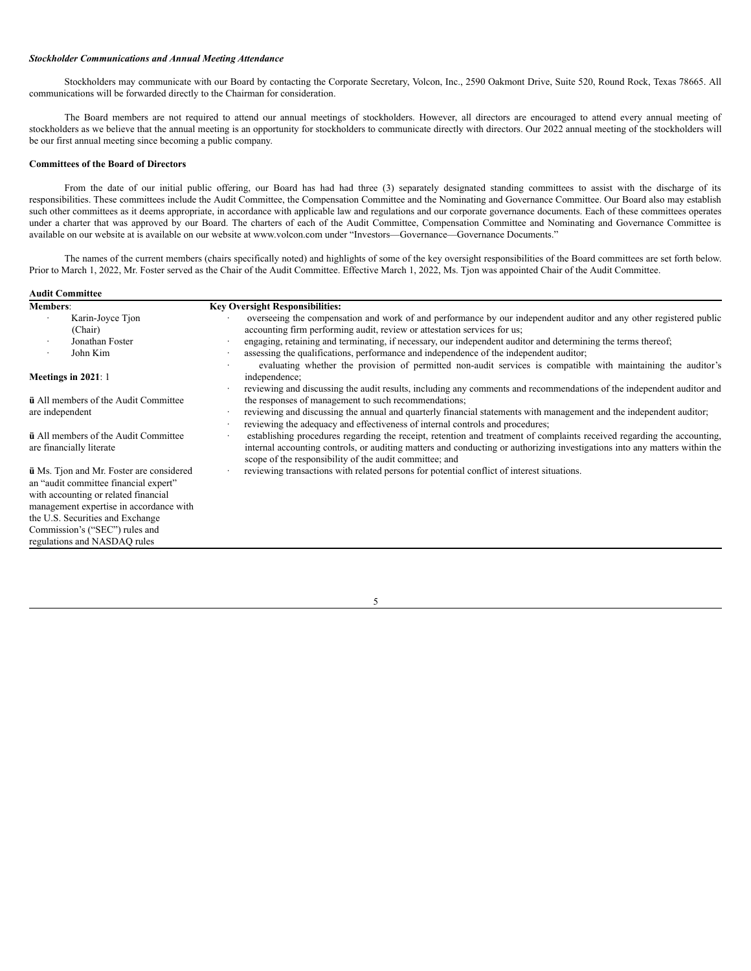#### *Stockholder Communications and Annual Meeting Attendance*

Stockholders may communicate with our Board by contacting the Corporate Secretary, Volcon, Inc., 2590 Oakmont Drive, Suite 520, Round Rock, Texas 78665. All communications will be forwarded directly to the Chairman for consideration.

The Board members are not required to attend our annual meetings of stockholders. However, all directors are encouraged to attend every annual meeting of stockholders as we believe that the annual meeting is an opportunity for stockholders to communicate directly with directors. Our 2022 annual meeting of the stockholders will be our first annual meeting since becoming a public company.

#### **Committees of the Board of Directors**

From the date of our initial public offering, our Board has had had three (3) separately designated standing committees to assist with the discharge of its responsibilities. These committees include the Audit Committee, the Compensation Committee and the Nominating and Governance Committee. Our Board also may establish such other committees as it deems appropriate, in accordance with applicable law and regulations and our corporate governance documents. Each of these committees operates under a charter that was approved by our Board. The charters of each of the Audit Committee, Compensation Committee and Nominating and Governance Committee is available on our website at is available on our website at www.volcon.com under "Investors—Governance—Governance Documents."

The names of the current members (chairs specifically noted) and highlights of some of the key oversight responsibilities of the Board committees are set forth below. Prior to March 1, 2022, Mr. Foster served as the Chair of the Audit Committee. Effective March 1, 2022, Ms. Tjon was appointed Chair of the Audit Committee.

| <b>Members:</b>                                                                                                                                                                                                                                                                   | <b>Key Oversight Responsibilities:</b>                                                                                                                                                                                                                                                                                                                                                                                                                                                                                     |
|-----------------------------------------------------------------------------------------------------------------------------------------------------------------------------------------------------------------------------------------------------------------------------------|----------------------------------------------------------------------------------------------------------------------------------------------------------------------------------------------------------------------------------------------------------------------------------------------------------------------------------------------------------------------------------------------------------------------------------------------------------------------------------------------------------------------------|
| Karin-Joyce Tion<br>(Chair)<br>Jonathan Foster<br>John Kim<br>٠                                                                                                                                                                                                                   | overseeing the compensation and work of and performance by our independent auditor and any other registered public<br>accounting firm performing audit, review or attestation services for us;<br>engaging, retaining and terminating, if necessary, our independent auditor and determining the terms thereof;<br>assessing the qualifications, performance and independence of the independent auditor;<br>evaluating whether the provision of permitted non-audit services is compatible with maintaining the auditor's |
| Meetings in $2021:1$                                                                                                                                                                                                                                                              | independence;<br>reviewing and discussing the audit results, including any comments and recommendations of the independent auditor and                                                                                                                                                                                                                                                                                                                                                                                     |
| <b>ü</b> All members of the Audit Committee<br>are independent                                                                                                                                                                                                                    | the responses of management to such recommendations;<br>reviewing and discussing the annual and quarterly financial statements with management and the independent auditor;<br>reviewing the adequacy and effectiveness of internal controls and procedures;                                                                                                                                                                                                                                                               |
| <b>ü</b> All members of the Audit Committee<br>are financially literate                                                                                                                                                                                                           | establishing procedures regarding the receipt, retention and treatment of complaints received regarding the accounting,<br>internal accounting controls, or auditing matters and conducting or authorizing investigations into any matters within the<br>scope of the responsibility of the audit committee; and                                                                                                                                                                                                           |
| <b>ü</b> Ms. Tjon and Mr. Foster are considered<br>an "audit committee financial expert"<br>with accounting or related financial<br>management expertise in accordance with<br>the U.S. Securities and Exchange<br>Commission's ("SEC") rules and<br>regulations and NASDAQ rules | reviewing transactions with related persons for potential conflict of interest situations.                                                                                                                                                                                                                                                                                                                                                                                                                                 |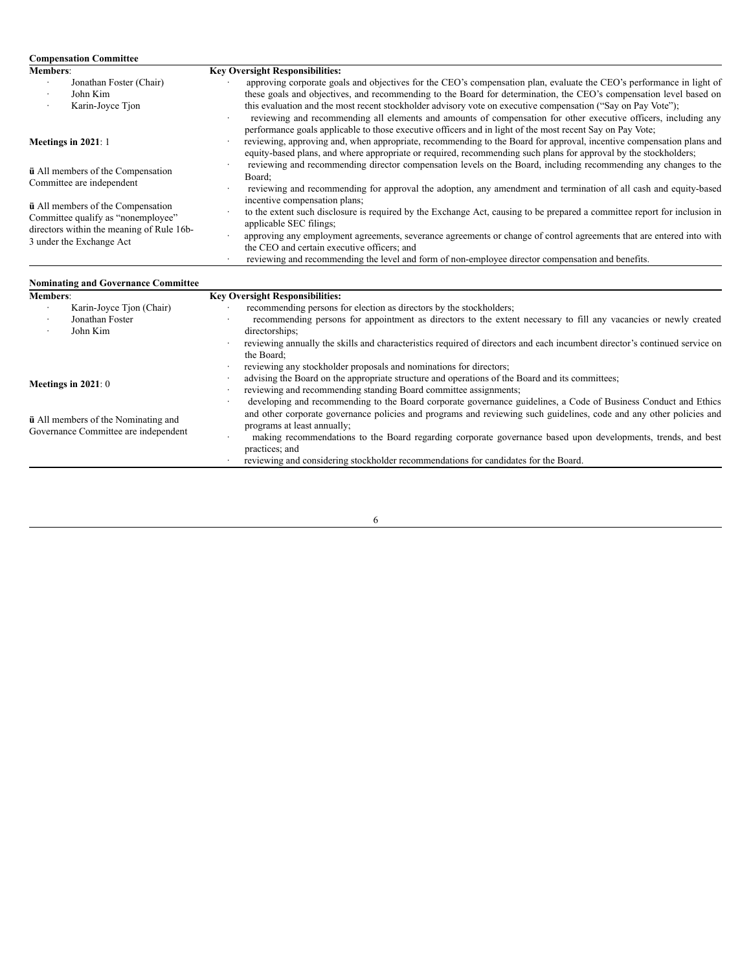| <b>Compensation Committee</b>                                                                                                                           |                                                                                                                                                                                                                                                                                                                                                                                                                                                                                                                                                                                            |
|---------------------------------------------------------------------------------------------------------------------------------------------------------|--------------------------------------------------------------------------------------------------------------------------------------------------------------------------------------------------------------------------------------------------------------------------------------------------------------------------------------------------------------------------------------------------------------------------------------------------------------------------------------------------------------------------------------------------------------------------------------------|
| <b>Members:</b>                                                                                                                                         | <b>Key Oversight Responsibilities:</b>                                                                                                                                                                                                                                                                                                                                                                                                                                                                                                                                                     |
| Jonathan Foster (Chair)<br>$\cdot$<br>John Kim<br>Karin-Joyce Tjon<br>$\cdot$                                                                           | approving corporate goals and objectives for the CEO's compensation plan, evaluate the CEO's performance in light of<br>these goals and objectives, and recommending to the Board for determination, the CEO's compensation level based on<br>this evaluation and the most recent stockholder advisory vote on executive compensation ("Say on Pay Vote");<br>reviewing and recommending all elements and amounts of compensation for other executive officers, including any<br>performance goals applicable to those executive officers and in light of the most recent Say on Pay Vote; |
| Meetings in $2021:1$                                                                                                                                    | reviewing, approving and, when appropriate, recommending to the Board for approval, incentive compensation plans and<br>equity-based plans, and where appropriate or required, recommending such plans for approval by the stockholders;                                                                                                                                                                                                                                                                                                                                                   |
| <b>ü</b> All members of the Compensation<br>Committee are independent                                                                                   | reviewing and recommending director compensation levels on the Board, including recommending any changes to the<br>Board:<br>reviewing and recommending for approval the adoption, any amendment and termination of all cash and equity-based                                                                                                                                                                                                                                                                                                                                              |
| <b>ü</b> All members of the Compensation<br>Committee qualify as "nonemployee"<br>directors within the meaning of Rule 16b-<br>3 under the Exchange Act | incentive compensation plans;<br>to the extent such disclosure is required by the Exchange Act, causing to be prepared a committee report for inclusion in<br>applicable SEC filings;<br>approving any employment agreements, severance agreements or change of control agreements that are entered into with<br>the CEO and certain executive officers; and<br>reviewing and recommending the level and form of non-employee director compensation and benefits.                                                                                                                          |

| <b>Nominating and Governance Committee</b>                                         |                                                                                                                                                                                                                                                                       |
|------------------------------------------------------------------------------------|-----------------------------------------------------------------------------------------------------------------------------------------------------------------------------------------------------------------------------------------------------------------------|
| <b>Members:</b>                                                                    | <b>Key Oversight Responsibilities:</b>                                                                                                                                                                                                                                |
| Karin-Joyce Tion (Chair)                                                           | recommending persons for election as directors by the stockholders;                                                                                                                                                                                                   |
| Jonathan Foster<br>John Kim                                                        | recommending persons for appointment as directors to the extent necessary to fill any vacancies or newly created<br>directorships;                                                                                                                                    |
|                                                                                    | reviewing annually the skills and characteristics required of directors and each incumbent director's continued service on<br>the Board:                                                                                                                              |
|                                                                                    | reviewing any stockholder proposals and nominations for directors;                                                                                                                                                                                                    |
|                                                                                    | advising the Board on the appropriate structure and operations of the Board and its committees;                                                                                                                                                                       |
| Meetings in $2021:0$                                                               | reviewing and recommending standing Board committee assignments;                                                                                                                                                                                                      |
| <b>ü</b> All members of the Nominating and<br>Governance Committee are independent | developing and recommending to the Board corporate governance guidelines, a Code of Business Conduct and Ethics<br>and other corporate governance policies and programs and reviewing such guidelines, code and any other policies and<br>programs at least annually; |
|                                                                                    | making recommendations to the Board regarding corporate governance based upon developments, trends, and best                                                                                                                                                          |
|                                                                                    | practices; and                                                                                                                                                                                                                                                        |
|                                                                                    | reviewing and considering stockholder recommendations for candidates for the Board.                                                                                                                                                                                   |

 $\overline{6}$ 

 $\overline{\phantom{a}}$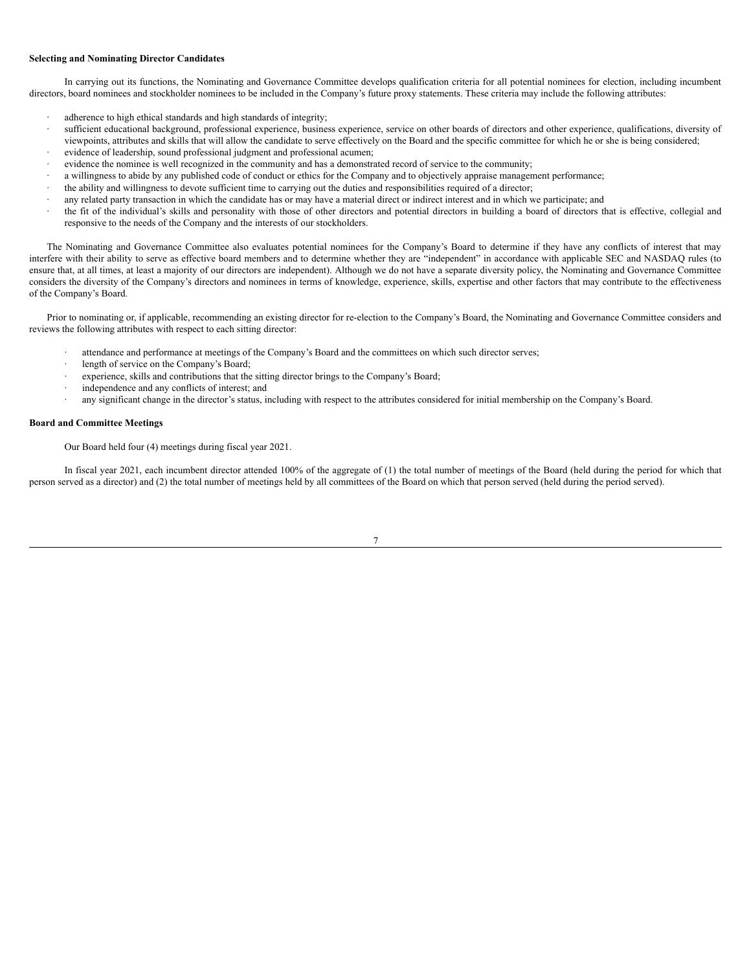### **Selecting and Nominating Director Candidates**

In carrying out its functions, the Nominating and Governance Committee develops qualification criteria for all potential nominees for election, including incumbent directors, board nominees and stockholder nominees to be included in the Company's future proxy statements. These criteria may include the following attributes:

- adherence to high ethical standards and high standards of integrity;
- sufficient educational background, professional experience, business experience, service on other boards of directors and other experience, qualifications, diversity of viewpoints, attributes and skills that will allow the candidate to serve effectively on the Board and the specific committee for which he or she is being considered;
- evidence of leadership, sound professional judgment and professional acumen;
- evidence the nominee is well recognized in the community and has a demonstrated record of service to the community;
- · a willingness to abide by any published code of conduct or ethics for the Company and to objectively appraise management performance;
- · the ability and willingness to devote sufficient time to carrying out the duties and responsibilities required of a director;
- any related party transaction in which the candidate has or may have a material direct or indirect interest and in which we participate; and
- · the fit of the individual's skills and personality with those of other directors and potential directors in building a board of directors that is effective, collegial and responsive to the needs of the Company and the interests of our stockholders.

The Nominating and Governance Committee also evaluates potential nominees for the Company's Board to determine if they have any conflicts of interest that may interfere with their ability to serve as effective board members and to determine whether they are "independent" in accordance with applicable SEC and NASDAQ rules (to ensure that, at all times, at least a majority of our directors are independent). Although we do not have a separate diversity policy, the Nominating and Governance Committee considers the diversity of the Company's directors and nominees in terms of knowledge, experience, skills, expertise and other factors that may contribute to the effectiveness of the Company's Board.

Prior to nominating or, if applicable, recommending an existing director for re-election to the Company's Board, the Nominating and Governance Committee considers and reviews the following attributes with respect to each sitting director:

- attendance and performance at meetings of the Company's Board and the committees on which such director serves;
- length of service on the Company's Board;
- experience, skills and contributions that the sitting director brings to the Company's Board;
- independence and any conflicts of interest; and
- · any significant change in the director's status, including with respect to the attributes considered for initial membership on the Company's Board.

#### **Board and Committee Meetings**

Our Board held four (4) meetings during fiscal year 2021.

In fiscal year 2021, each incumbent director attended 100% of the aggregate of (1) the total number of meetings of the Board (held during the period for which that person served as a director) and (2) the total number of meetings held by all committees of the Board on which that person served (held during the period served).

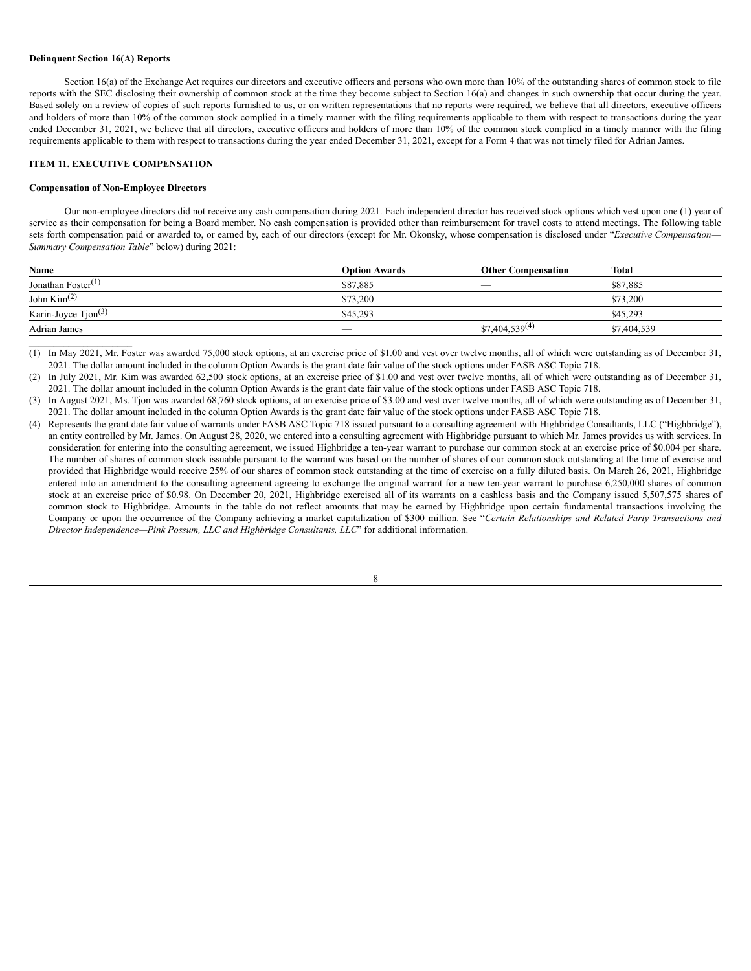#### **Delinquent Section 16(A) Reports**

Section 16(a) of the Exchange Act requires our directors and executive officers and persons who own more than 10% of the outstanding shares of common stock to file reports with the SEC disclosing their ownership of common stock at the time they become subject to Section 16(a) and changes in such ownership that occur during the year. Based solely on a review of copies of such reports furnished to us, or on written representations that no reports were required, we believe that all directors, executive officers and holders of more than 10% of the common stock complied in a timely manner with the filing requirements applicable to them with respect to transactions during the year ended December 31, 2021, we believe that all directors, executive officers and holders of more than 10% of the common stock complied in a timely manner with the filing requirements applicable to them with respect to transactions during the year ended December 31, 2021, except for a Form 4 that was not timely filed for Adrian James.

#### <span id="page-10-0"></span>**ITEM 11. EXECUTIVE COMPENSATION**

#### **Compensation of Non-Employee Directors**

 $\mathcal{L}=\mathcal{L}^{\mathcal{L}}$  , where  $\mathcal{L}^{\mathcal{L}}$  , we have the set of the set of the set of the set of the set of the set of the set of the set of the set of the set of the set of the set of the set of the set of the set of

Our non-employee directors did not receive any cash compensation during 2021. Each independent director has received stock options which vest upon one (1) year of service as their compensation for being a Board member. No cash compensation is provided other than reimbursement for travel costs to attend meetings. The following table sets forth compensation paid or awarded to, or earned by, each of our directors (except for Mr. Okonsky, whose compensation is disclosed under "*Executive Compensation*— *Summary Compensation Table*" below) during 2021:

| Name                            | <b>Option Awards</b> | <b>Other Compensation</b> | Total       |
|---------------------------------|----------------------|---------------------------|-------------|
| Jonathan Foster <sup>(1)</sup>  | \$87,885             | --                        | \$87,885    |
| John $Kim(2)$                   | \$73.200             |                           | \$73,200    |
| Karin-Joyce Tjon <sup>(3)</sup> | \$45.293             | __                        | \$45.293    |
| Adrian James                    |                      | $$7,404,539^{(4)}$        | \$7,404,539 |

(1) In May 2021, Mr. Foster was awarded 75,000 stock options, at an exercise price of \$1.00 and vest over twelve months, all of which were outstanding as of December 31, 2021. The dollar amount included in the column Option Awards is the grant date fair value of the stock options under FASB ASC Topic 718.

- (3) In August 2021, Ms. Tjon was awarded 68,760 stock options, at an exercise price of \$3.00 and vest over twelve months, all of which were outstanding as of December 31, 2021. The dollar amount included in the column Option Awards is the grant date fair value of the stock options under FASB ASC Topic 718.
- (4) Represents the grant date fair value of warrants under FASB ASC Topic 718 issued pursuant to a consulting agreement with Highbridge Consultants, LLC ("Highbridge"), an entity controlled by Mr. James. On August 28, 2020, we entered into a consulting agreement with Highbridge pursuant to which Mr. James provides us with services. In consideration for entering into the consulting agreement, we issued Highbridge a ten-year warrant to purchase our common stock at an exercise price of \$0.004 per share. The number of shares of common stock issuable pursuant to the warrant was based on the number of shares of our common stock outstanding at the time of exercise and provided that Highbridge would receive 25% of our shares of common stock outstanding at the time of exercise on a fully diluted basis. On March 26, 2021, Highbridge entered into an amendment to the consulting agreement agreeing to exchange the original warrant for a new ten-year warrant to purchase 6,250,000 shares of common stock at an exercise price of \$0.98. On December 20, 2021, Highbridge exercised all of its warrants on a cashless basis and the Company issued 5,507,575 shares of common stock to Highbridge. Amounts in the table do not reflect amounts that may be earned by Highbridge upon certain fundamental transactions involving the Company or upon the occurrence of the Company achieving a market capitalization of \$300 million. See "*Certain Relationships and Related Party Transactions and Director Independence—Pink Possum, LLC and Highbridge Consultants, LLC*" for additional information.

<sup>(2)</sup> In July 2021, Mr. Kim was awarded 62,500 stock options, at an exercise price of \$1.00 and vest over twelve months, all of which were outstanding as of December 31, 2021. The dollar amount included in the column Option Awards is the grant date fair value of the stock options under FASB ASC Topic 718.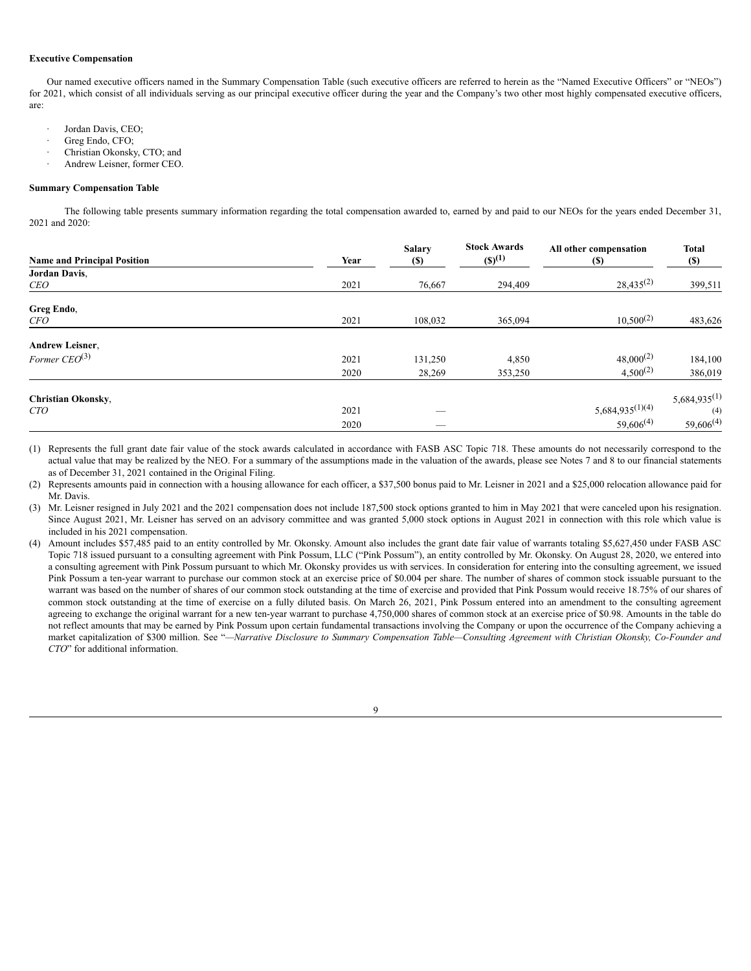## **Executive Compensation**

Our named executive officers named in the Summary Compensation Table (such executive officers are referred to herein as the "Named Executive Officers" or "NEOs") for 2021, which consist of all individuals serving as our principal executive officer during the year and the Company's two other most highly compensated executive officers, are:

- Jordan Davis, CEO;
- Greg Endo, CFO;
- Christian Okonsky, CTO; and
- Andrew Leisner, former CEO.

## **Summary Compensation Table**

The following table presents summary information regarding the total compensation awarded to, earned by and paid to our NEOs for the years ended December 31, 2021 and 2020:

| <b>Name and Principal Position</b> | Year | <b>Salary</b><br><b>(S)</b> | <b>Stock Awards</b><br>$(S)^{(1)}$ | All other compensation<br>(S) | <b>Total</b><br><b>(\$)</b> |
|------------------------------------|------|-----------------------------|------------------------------------|-------------------------------|-----------------------------|
| Jordan Davis.                      |      |                             |                                    |                               |                             |
| <b>CEO</b>                         | 2021 | 76,667                      | 294,409                            | $28,435^{(2)}$                | 399,511                     |
| Greg Endo,                         |      |                             |                                    |                               |                             |
| <i>CFO</i>                         | 2021 | 108,032                     | 365,094                            | $10,500^{(2)}$                | 483,626                     |
| <b>Andrew Leisner,</b>             |      |                             |                                    |                               |                             |
| Former $CEO^{(3)}$                 | 2021 | 131,250                     | 4,850                              | $48,000^{(2)}$                | 184,100                     |
|                                    | 2020 | 28,269                      | 353,250                            | $4,500^{(2)}$                 | 386,019                     |
| <b>Christian Okonsky,</b>          |      |                             |                                    |                               | $5,684,935^{(1)}$           |
| <b>CTO</b>                         | 2021 |                             |                                    | $5,684,935^{(1)(4)}$          | (4)                         |
|                                    | 2020 |                             |                                    | $59,606^{(4)}$                | $59,606^{(4)}$              |

(1) Represents the full grant date fair value of the stock awards calculated in accordance with FASB ASC Topic 718. These amounts do not necessarily correspond to the actual value that may be realized by the NEO. For a summary of the assumptions made in the valuation of the awards, please see Notes 7 and 8 to our financial statements as of December 31, 2021 contained in the Original Filing.

(2) Represents amounts paid in connection with a housing allowance for each officer, a \$37,500 bonus paid to Mr. Leisner in 2021 and a \$25,000 relocation allowance paid for Mr. Davis.

(3) Mr. Leisner resigned in July 2021 and the 2021 compensation does not include 187,500 stock options granted to him in May 2021 that were canceled upon his resignation. Since August 2021, Mr. Leisner has served on an advisory committee and was granted 5,000 stock options in August 2021 in connection with this role which value is included in his 2021 compensation.

(4) Amount includes \$57,485 paid to an entity controlled by Mr. Okonsky. Amount also includes the grant date fair value of warrants totaling \$5,627,450 under FASB ASC Topic 718 issued pursuant to a consulting agreement with Pink Possum, LLC ("Pink Possum"), an entity controlled by Mr. Okonsky. On August 28, 2020, we entered into a consulting agreement with Pink Possum pursuant to which Mr. Okonsky provides us with services. In consideration for entering into the consulting agreement, we issued Pink Possum a ten-year warrant to purchase our common stock at an exercise price of \$0.004 per share. The number of shares of common stock issuable pursuant to the warrant was based on the number of shares of our common stock outstanding at the time of exercise and provided that Pink Possum would receive 18.75% of our shares of common stock outstanding at the time of exercise on a fully diluted basis. On March 26, 2021, Pink Possum entered into an amendment to the consulting agreement agreeing to exchange the original warrant for a new ten-year warrant to purchase 4,750,000 shares of common stock at an exercise price of \$0.98. Amounts in the table do not reflect amounts that may be earned by Pink Possum upon certain fundamental transactions involving the Company or upon the occurrence of the Company achieving a market capitalization of \$300 million. See "-Narrative Disclosure to Summary Compensation Table-Consulting Agreement with Christian Okonsky, Co-Founder and *CTO*" for additional information.

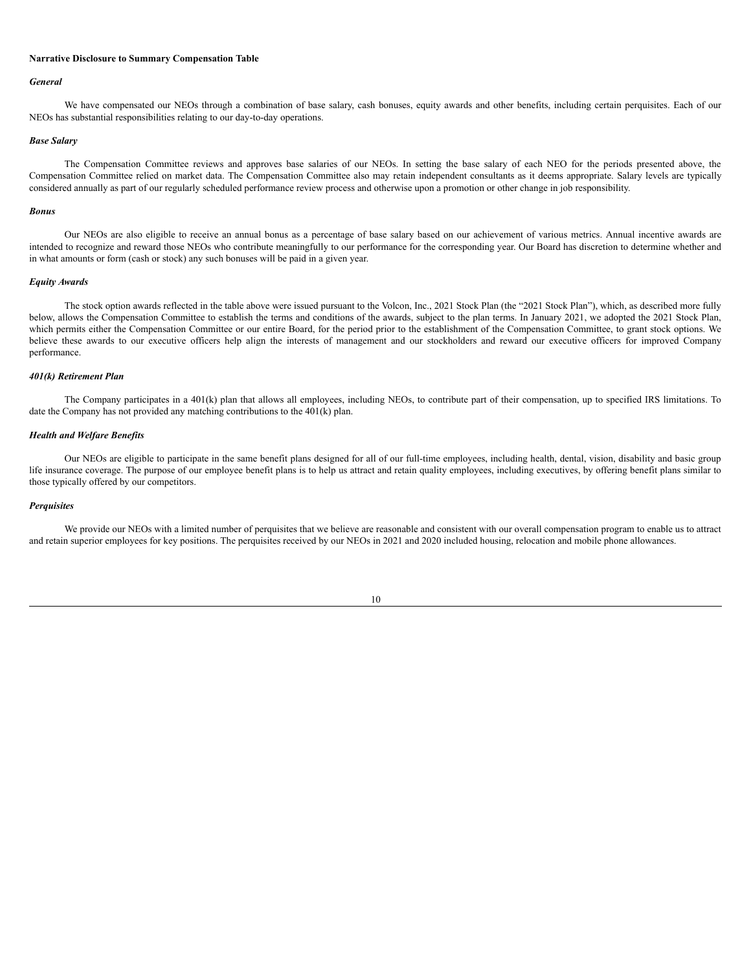#### **Narrative Disclosure to Summary Compensation Table**

#### *General*

We have compensated our NEOs through a combination of base salary, cash bonuses, equity awards and other benefits, including certain perquisites. Each of our NEOs has substantial responsibilities relating to our day-to-day operations.

#### *Base Salary*

The Compensation Committee reviews and approves base salaries of our NEOs. In setting the base salary of each NEO for the periods presented above, the Compensation Committee relied on market data. The Compensation Committee also may retain independent consultants as it deems appropriate. Salary levels are typically considered annually as part of our regularly scheduled performance review process and otherwise upon a promotion or other change in job responsibility.

#### *Bonus*

Our NEOs are also eligible to receive an annual bonus as a percentage of base salary based on our achievement of various metrics. Annual incentive awards are intended to recognize and reward those NEOs who contribute meaningfully to our performance for the corresponding year. Our Board has discretion to determine whether and in what amounts or form (cash or stock) any such bonuses will be paid in a given year.

#### *Equity Awards*

The stock option awards reflected in the table above were issued pursuant to the Volcon, Inc., 2021 Stock Plan (the "2021 Stock Plan"), which, as described more fully below, allows the Compensation Committee to establish the terms and conditions of the awards, subject to the plan terms. In January 2021, we adopted the 2021 Stock Plan, which permits either the Compensation Committee or our entire Board, for the period prior to the establishment of the Compensation Committee, to grant stock options. We believe these awards to our executive officers help align the interests of management and our stockholders and reward our executive officers for improved Company performance.

## *401(k) Retirement Plan*

The Company participates in a 401(k) plan that allows all employees, including NEOs, to contribute part of their compensation, up to specified IRS limitations. To date the Company has not provided any matching contributions to the  $401(k)$  plan.

#### *Health and Welfare Benefits*

Our NEOs are eligible to participate in the same benefit plans designed for all of our full-time employees, including health, dental, vision, disability and basic group life insurance coverage. The purpose of our employee benefit plans is to help us attract and retain quality employees, including executives, by offering benefit plans similar to those typically offered by our competitors.

#### *Perquisites*

We provide our NEOs with a limited number of perquisites that we believe are reasonable and consistent with our overall compensation program to enable us to attract and retain superior employees for key positions. The perquisites received by our NEOs in 2021 and 2020 included housing, relocation and mobile phone allowances.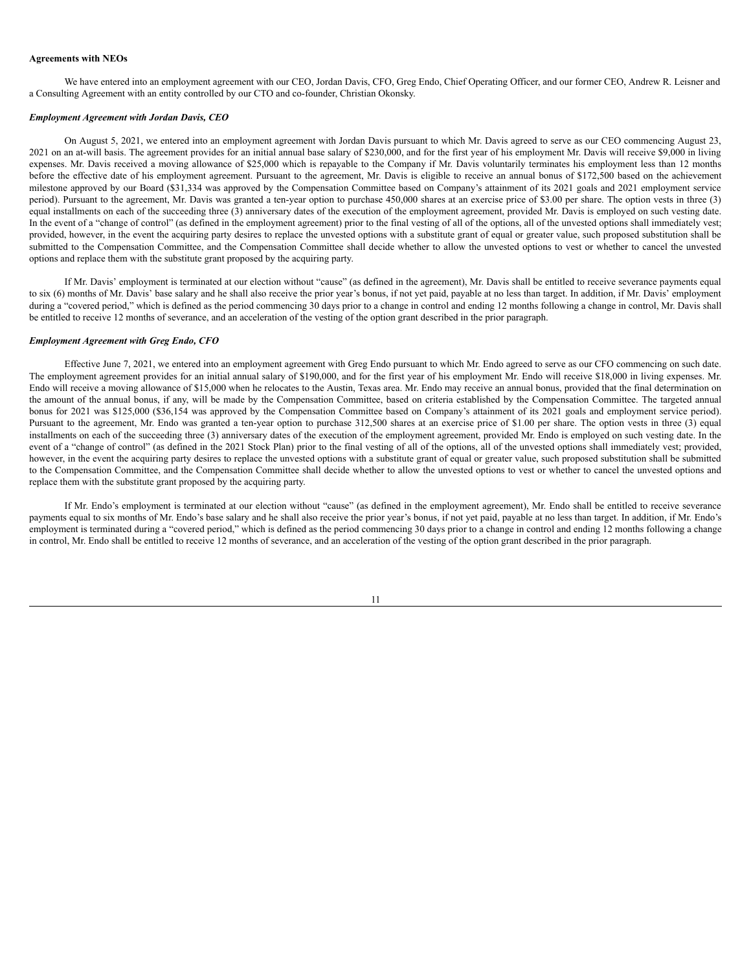#### **Agreements with NEOs**

We have entered into an employment agreement with our CEO, Jordan Davis, CFO, Greg Endo, Chief Operating Officer, and our former CEO, Andrew R. Leisner and a Consulting Agreement with an entity controlled by our CTO and co-founder, Christian Okonsky.

#### *Employment Agreement with Jordan Davis, CEO*

On August 5, 2021, we entered into an employment agreement with Jordan Davis pursuant to which Mr. Davis agreed to serve as our CEO commencing August 23, 2021 on an at-will basis. The agreement provides for an initial annual base salary of \$230,000, and for the first year of his employment Mr. Davis will receive \$9,000 in living expenses. Mr. Davis received a moving allowance of \$25,000 which is repayable to the Company if Mr. Davis voluntarily terminates his employment less than 12 months before the effective date of his employment agreement. Pursuant to the agreement, Mr. Davis is eligible to receive an annual bonus of \$172,500 based on the achievement milestone approved by our Board (\$31,334 was approved by the Compensation Committee based on Company's attainment of its 2021 goals and 2021 employment service period). Pursuant to the agreement, Mr. Davis was granted a ten-year option to purchase 450,000 shares at an exercise price of \$3.00 per share. The option vests in three (3) equal installments on each of the succeeding three (3) anniversary dates of the execution of the employment agreement, provided Mr. Davis is employed on such vesting date. In the event of a "change of control" (as defined in the employment agreement) prior to the final vesting of all of the options, all of the unvested options shall immediately vest; provided, however, in the event the acquiring party desires to replace the unvested options with a substitute grant of equal or greater value, such proposed substitution shall be submitted to the Compensation Committee, and the Compensation Committee shall decide whether to allow the unvested options to vest or whether to cancel the unvested options and replace them with the substitute grant proposed by the acquiring party.

If Mr. Davis' employment is terminated at our election without "cause" (as defined in the agreement), Mr. Davis shall be entitled to receive severance payments equal to six (6) months of Mr. Davis' base salary and he shall also receive the prior year's bonus, if not yet paid, payable at no less than target. In addition, if Mr. Davis' employment during a "covered period," which is defined as the period commencing 30 days prior to a change in control and ending 12 months following a change in control, Mr. Davis shall be entitled to receive 12 months of severance, and an acceleration of the vesting of the option grant described in the prior paragraph.

#### *Employment Agreement with Greg Endo, CFO*

Effective June 7, 2021, we entered into an employment agreement with Greg Endo pursuant to which Mr. Endo agreed to serve as our CFO commencing on such date. The employment agreement provides for an initial annual salary of \$190,000, and for the first year of his employment Mr. Endo will receive \$18,000 in living expenses. Mr. Endo will receive a moving allowance of \$15,000 when he relocates to the Austin, Texas area. Mr. Endo may receive an annual bonus, provided that the final determination on the amount of the annual bonus, if any, will be made by the Compensation Committee, based on criteria established by the Compensation Committee. The targeted annual bonus for 2021 was \$125,000 (\$36,154 was approved by the Compensation Committee based on Company's attainment of its 2021 goals and employment service period). Pursuant to the agreement, Mr. Endo was granted a ten-year option to purchase 312,500 shares at an exercise price of \$1.00 per share. The option vests in three (3) equal installments on each of the succeeding three (3) anniversary dates of the execution of the employment agreement, provided Mr. Endo is employed on such vesting date. In the event of a "change of control" (as defined in the 2021 Stock Plan) prior to the final vesting of all of the options, all of the unvested options shall immediately vest; provided, however, in the event the acquiring party desires to replace the unvested options with a substitute grant of equal or greater value, such proposed substitution shall be submitted to the Compensation Committee, and the Compensation Committee shall decide whether to allow the unvested options to vest or whether to cancel the unvested options and replace them with the substitute grant proposed by the acquiring party.

If Mr. Endo's employment is terminated at our election without "cause" (as defined in the employment agreement), Mr. Endo shall be entitled to receive severance payments equal to six months of Mr. Endo's base salary and he shall also receive the prior year's bonus, if not yet paid, payable at no less than target. In addition, if Mr. Endo's employment is terminated during a "covered period," which is defined as the period commencing 30 days prior to a change in control and ending 12 months following a change in control, Mr. Endo shall be entitled to receive 12 months of severance, and an acceleration of the vesting of the option grant described in the prior paragraph.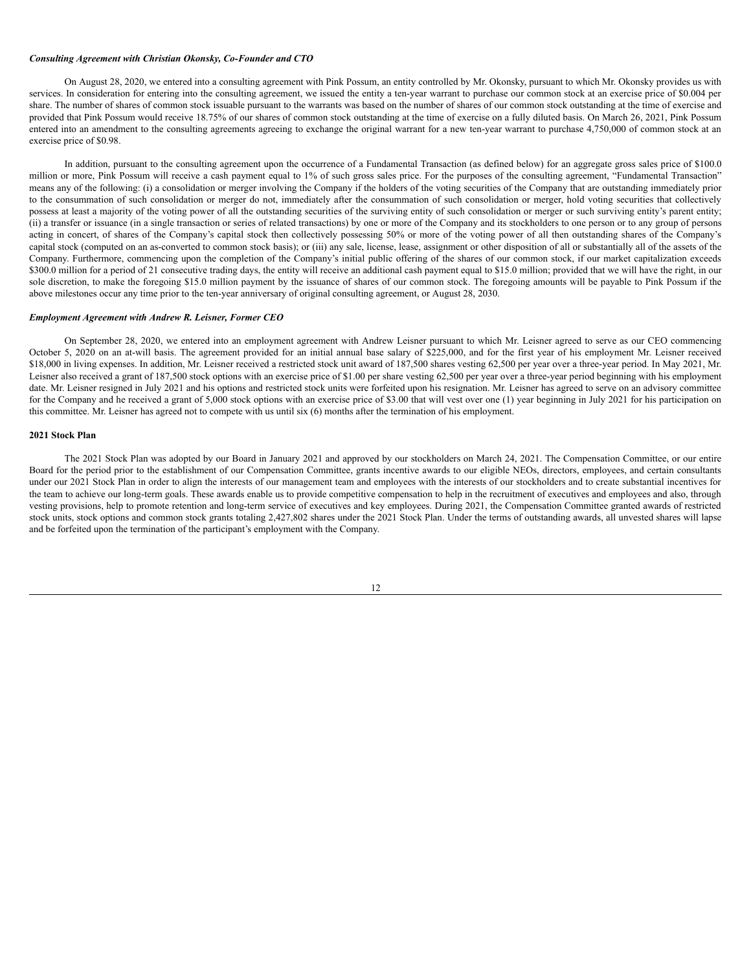#### *Consulting Agreement with Christian Okonsky, Co-Founder and CTO*

On August 28, 2020, we entered into a consulting agreement with Pink Possum, an entity controlled by Mr. Okonsky, pursuant to which Mr. Okonsky provides us with services. In consideration for entering into the consulting agreement, we issued the entity a ten-year warrant to purchase our common stock at an exercise price of \$0.004 per share. The number of shares of common stock issuable pursuant to the warrants was based on the number of shares of our common stock outstanding at the time of exercise and provided that Pink Possum would receive 18.75% of our shares of common stock outstanding at the time of exercise on a fully diluted basis. On March 26, 2021, Pink Possum entered into an amendment to the consulting agreements agreeing to exchange the original warrant for a new ten-year warrant to purchase 4,750,000 of common stock at an exercise price of \$0.98.

In addition, pursuant to the consulting agreement upon the occurrence of a Fundamental Transaction (as defined below) for an aggregate gross sales price of \$100.0 million or more, Pink Possum will receive a cash payment equal to 1% of such gross sales price. For the purposes of the consulting agreement, "Fundamental Transaction" means any of the following: (i) a consolidation or merger involving the Company if the holders of the voting securities of the Company that are outstanding immediately prior to the consummation of such consolidation or merger do not, immediately after the consummation of such consolidation or merger, hold voting securities that collectively possess at least a majority of the voting power of all the outstanding securities of the surviving entity of such consolidation or merger or such surviving entity's parent entity; (ii) a transfer or issuance (in a single transaction or series of related transactions) by one or more of the Company and its stockholders to one person or to any group of persons acting in concert, of shares of the Company's capital stock then collectively possessing 50% or more of the voting power of all then outstanding shares of the Company's capital stock (computed on an as-converted to common stock basis); or (iii) any sale, license, lease, assignment or other disposition of all or substantially all of the assets of the Company. Furthermore, commencing upon the completion of the Company's initial public offering of the shares of our common stock, if our market capitalization exceeds \$300.0 million for a period of 21 consecutive trading days, the entity will receive an additional cash payment equal to \$15.0 million; provided that we will have the right, in our sole discretion, to make the foregoing \$15.0 million payment by the issuance of shares of our common stock. The foregoing amounts will be payable to Pink Possum if the above milestones occur any time prior to the ten-year anniversary of original consulting agreement, or August 28, 2030.

#### *Employment Agreement with Andrew R. Leisner, Former CEO*

On September 28, 2020, we entered into an employment agreement with Andrew Leisner pursuant to which Mr. Leisner agreed to serve as our CEO commencing October 5, 2020 on an at-will basis. The agreement provided for an initial annual base salary of \$225,000, and for the first year of his employment Mr. Leisner received \$18,000 in living expenses. In addition, Mr. Leisner received a restricted stock unit award of 187,500 shares vesting 62,500 per year over a three-year period. In May 2021, Mr. Leisner also received a grant of 187,500 stock options with an exercise price of \$1.00 per share vesting 62,500 per year over a three-year period beginning with his employment date. Mr. Leisner resigned in July 2021 and his options and restricted stock units were forfeited upon his resignation. Mr. Leisner has agreed to serve on an advisory committee for the Company and he received a grant of 5,000 stock options with an exercise price of \$3.00 that will vest over one (1) year beginning in July 2021 for his participation on this committee. Mr. Leisner has agreed not to compete with us until six (6) months after the termination of his employment.

#### **2021 Stock Plan**

The 2021 Stock Plan was adopted by our Board in January 2021 and approved by our stockholders on March 24, 2021. The Compensation Committee, or our entire Board for the period prior to the establishment of our Compensation Committee, grants incentive awards to our eligible NEOs, directors, employees, and certain consultants under our 2021 Stock Plan in order to align the interests of our management team and employees with the interests of our stockholders and to create substantial incentives for the team to achieve our long-term goals. These awards enable us to provide competitive compensation to help in the recruitment of executives and employees and also, through vesting provisions, help to promote retention and long-term service of executives and key employees. During 2021, the Compensation Committee granted awards of restricted stock units, stock options and common stock grants totaling 2,427,802 shares under the 2021 Stock Plan. Under the terms of outstanding awards, all unvested shares will lapse and be forfeited upon the termination of the participant's employment with the Company.

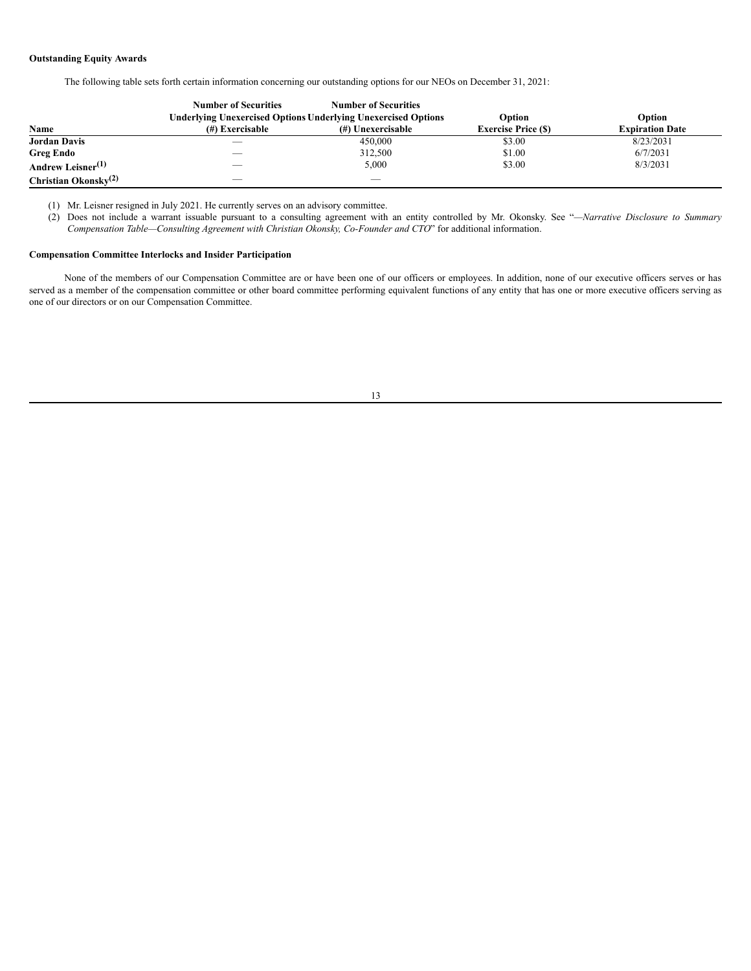## **Outstanding Equity Awards**

The following table sets forth certain information concerning our outstanding options for our NEOs on December 31, 2021:

|                                         | <b>Number of Securities</b>                                          | <b>Number of Securities</b> |                           |                        |
|-----------------------------------------|----------------------------------------------------------------------|-----------------------------|---------------------------|------------------------|
|                                         | <b>Underlying Unexercised Options Underlying Unexercised Options</b> |                             | Option                    | Option                 |
| Name                                    | (#) Exercisable                                                      | (#) Unexercisable           | <b>Exercise Price (S)</b> | <b>Expiration Date</b> |
| <b>Jordan Davis</b>                     | $\overbrace{\hspace{25mm}}^{}$                                       | 450,000                     | \$3.00                    | 8/23/2031              |
| Greg Endo                               |                                                                      | 312,500                     | \$1.00                    | 6/7/2031               |
| Andrew Leisner <sup>(1)</sup>           | --                                                                   | 5,000                       | \$3.00                    | 8/3/2031               |
| <b>Christian Okonsky</b> <sup>(2)</sup> | --                                                                   |                             |                           |                        |

(1) Mr. Leisner resigned in July 2021. He currently serves on an advisory committee.

(2) Does not include a warrant issuable pursuant to a consulting agreement with an entity controlled by Mr. Okonsky. See "*—Narrative Disclosure to Summary Compensation Table—Consulting Agreement with Christian Okonsky, Co-Founder and CTO*" for additional information.

## **Compensation Committee Interlocks and Insider Participation**

None of the members of our Compensation Committee are or have been one of our officers or employees. In addition, none of our executive officers serves or has served as a member of the compensation committee or other board committee performing equivalent functions of any entity that has one or more executive officers serving as one of our directors or on our Compensation Committee.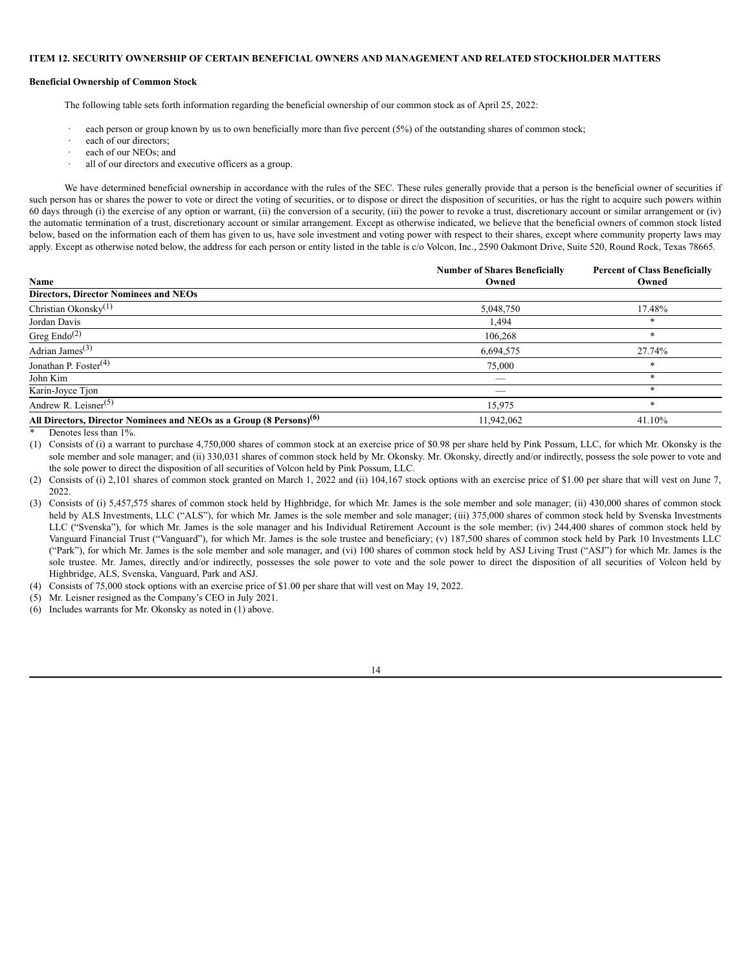#### <span id="page-16-0"></span>**ITEM 12. SECURITY OWNERSHIP OF CERTAIN BENEFICIAL OWNERS AND MANAGEMENT AND RELATED STOCKHOLDER MATTERS**

#### **Beneficial Ownership of Common Stock**

The following table sets forth information regarding the beneficial ownership of our common stock as of April 25, 2022:

- each person or group known by us to own beneficially more than five percent (5%) of the outstanding shares of common stock;
- each of our directors;
- each of our NEOs; and
- · all of our directors and executive officers as a group.

We have determined beneficial ownership in accordance with the rules of the SEC. These rules generally provide that a person is the beneficial owner of securities if such person has or shares the power to vote or direct the voting of securities, or to dispose or direct the disposition of securities, or has the right to acquire such powers within 60 days through (i) the exercise of any option or warrant, (ii) the conversion of a security, (iii) the power to revoke a trust, discretionary account or similar arrangement or (iv) the automatic termination of a trust, discretionary account or similar arrangement. Except as otherwise indicated, we believe that the beneficial owners of common stock listed below, based on the information each of them has given to us, have sole investment and voting power with respect to their shares, except where community property laws may apply. Except as otherwise noted below, the address for each person or entity listed in the table is c/o Volcon, Inc., 2590 Oakmont Drive, Suite 520, Round Rock, Texas 78665.

|                                                                                 | <b>Number of Shares Beneficially</b> | <b>Percent of Class Beneficially</b> |
|---------------------------------------------------------------------------------|--------------------------------------|--------------------------------------|
| Name                                                                            | Owned                                | Owned                                |
| <b>Directors, Director Nominees and NEOs</b>                                    |                                      |                                      |
| Christian Okonsky $(1)$                                                         | 5,048,750                            | 17.48%                               |
| Jordan Davis                                                                    | 1,494                                | *                                    |
| Greg $\text{Endo}^{(2)}$                                                        | 106,268                              | $\ast$                               |
| Adrian James <sup>(3)</sup>                                                     | 6,694,575                            | 27.74%                               |
| Jonathan P. Foster $(4)$                                                        | 75,000                               | *                                    |
| John Kim                                                                        |                                      | $\ast$                               |
| Karin-Joyce Tjon                                                                |                                      | $\ast$                               |
| Andrew R. Leisner $(5)$                                                         | 15,975                               | $\ast$                               |
| All Directors, Director Nominees and NEOs as a Group (8 Persons) <sup>(6)</sup> | 11,942,062                           | 41.10%                               |

Denotes less than 1%.

(1) Consists of (i) a warrant to purchase 4,750,000 shares of common stock at an exercise price of \$0.98 per share held by Pink Possum, LLC, for which Mr. Okonsky is the sole member and sole manager; and (ii) 330,031 shares of common stock held by Mr. Okonsky. Mr. Okonsky, directly and/or indirectly, possess the sole power to vote and the sole power to direct the disposition of all securities of Volcon held by Pink Possum, LLC.

(2) Consists of (i) 2,101 shares of common stock granted on March 1, 2022 and (ii) 104,167 stock options with an exercise price of \$1.00 per share that will vest on June 7, 2022.

(3) Consists of (i) 5,457,575 shares of common stock held by Highbridge, for which Mr. James is the sole member and sole manager; (ii) 430,000 shares of common stock held by ALS Investments, LLC ("ALS"), for which Mr. James is the sole member and sole manager; (iii) 375,000 shares of common stock held by Svenska Investments LLC ("Svenska"), for which Mr. James is the sole manager and his Individual Retirement Account is the sole member; (iv) 244,400 shares of common stock held by Vanguard Financial Trust ("Vanguard"), for which Mr. James is the sole trustee and beneficiary; (v) 187,500 shares of common stock held by Park 10 Investments LLC ("Park"), for which Mr. James is the sole member and sole manager, and (vi) 100 shares of common stock held by ASJ Living Trust ("ASJ") for which Mr. James is the sole trustee. Mr. James, directly and/or indirectly, possesses the sole power to vote and the sole power to direct the disposition of all securities of Volcon held by Highbridge, ALS, Svenska, Vanguard, Park and ASJ.

(4) Consists of 75,000 stock options with an exercise price of \$1.00 per share that will vest on May 19, 2022.

(5) Mr. Leisner resigned as the Company's CEO in July 2021.

(6) Includes warrants for Mr. Okonsky as noted in (1) above.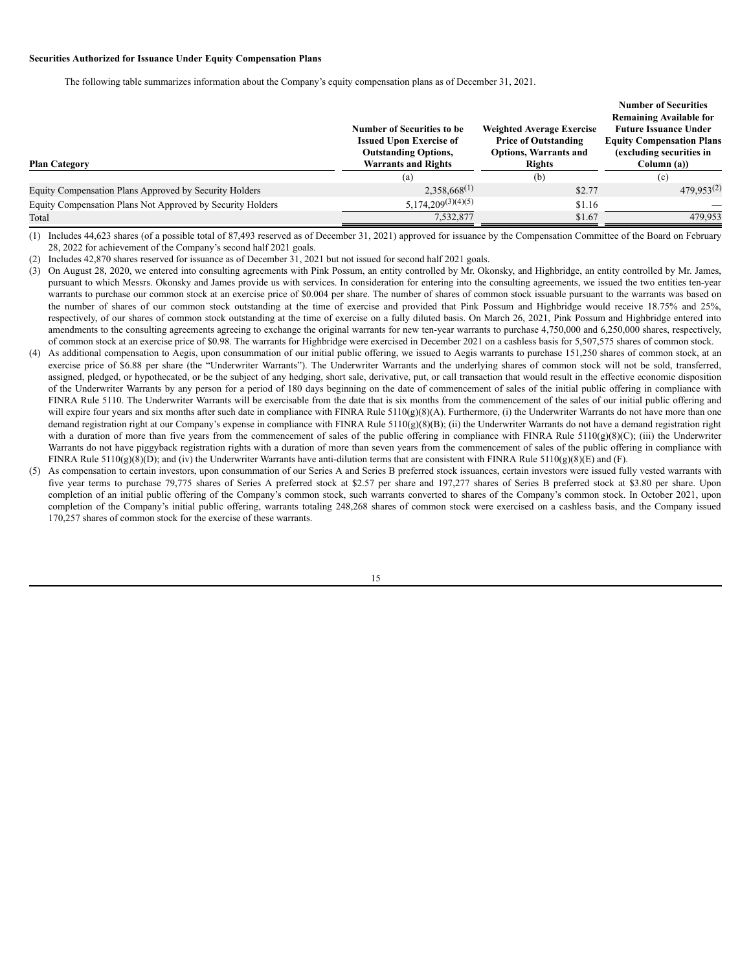### **Securities Authorized for Issuance Under Equity Compensation Plans**

The following table summarizes information about the Company's equity compensation plans as of December 31, 2021.

|                                                            | Number of Securities to be<br><b>Issued Upon Exercise of</b><br><b>Outstanding Options,</b> | <b>Weighted Average Exercise</b><br><b>Price of Outstanding</b><br><b>Options, Warrants and</b> | <b>Number of Securities</b><br><b>Remaining Available for</b><br><b>Future Issuance Under</b><br><b>Equity Compensation Plans</b><br>(excluding securities in |
|------------------------------------------------------------|---------------------------------------------------------------------------------------------|-------------------------------------------------------------------------------------------------|---------------------------------------------------------------------------------------------------------------------------------------------------------------|
| <b>Plan Category</b>                                       | <b>Warrants and Rights</b>                                                                  | <b>Rights</b>                                                                                   | Column (a))                                                                                                                                                   |
|                                                            | (a)                                                                                         | (b)                                                                                             | (c)                                                                                                                                                           |
| Equity Compensation Plans Approved by Security Holders     | $2,358,668^{(1)}$                                                                           | \$2.77                                                                                          | $479.953^{(2)}$                                                                                                                                               |
| Equity Compensation Plans Not Approved by Security Holders | $5,174,209^{(3)(4)(5)}$                                                                     | \$1.16                                                                                          |                                                                                                                                                               |
| Total                                                      | 7,532,877                                                                                   | \$1.67                                                                                          | 479.953                                                                                                                                                       |

(1) Includes 44,623 shares (of a possible total of 87,493 reserved as of December 31, 2021) approved for issuance by the Compensation Committee of the Board on February 28, 2022 for achievement of the Company's second half 2021 goals.

(2) Includes 42,870 shares reserved for issuance as of December 31, 2021 but not issued for second half 2021 goals.

- (3) On August 28, 2020, we entered into consulting agreements with Pink Possum, an entity controlled by Mr. Okonsky, and Highbridge, an entity controlled by Mr. James, pursuant to which Messrs. Okonsky and James provide us with services. In consideration for entering into the consulting agreements, we issued the two entities ten-year warrants to purchase our common stock at an exercise price of \$0.004 per share. The number of shares of common stock issuable pursuant to the warrants was based on the number of shares of our common stock outstanding at the time of exercise and provided that Pink Possum and Highbridge would receive 18.75% and 25%, respectively, of our shares of common stock outstanding at the time of exercise on a fully diluted basis. On March 26, 2021, Pink Possum and Highbridge entered into amendments to the consulting agreements agreeing to exchange the original warrants for new ten-year warrants to purchase 4,750,000 and 6,250,000 shares, respectively, of common stock at an exercise price of \$0.98. The warrants for Highbridge were exercised in December 2021 on a cashless basis for 5,507,575 shares of common stock.
- (4) As additional compensation to Aegis, upon consummation of our initial public offering, we issued to Aegis warrants to purchase 151,250 shares of common stock, at an exercise price of \$6.88 per share (the "Underwriter Warrants"). The Underwriter Warrants and the underlying shares of common stock will not be sold, transferred, assigned, pledged, or hypothecated, or be the subject of any hedging, short sale, derivative, put, or call transaction that would result in the effective economic disposition of the Underwriter Warrants by any person for a period of 180 days beginning on the date of commencement of sales of the initial public offering in compliance with FINRA Rule 5110. The Underwriter Warrants will be exercisable from the date that is six months from the commencement of the sales of our initial public offering and will expire four years and six months after such date in compliance with FINRA Rule 5110(g)(8)(A). Furthermore, (i) the Underwriter Warrants do not have more than one demand registration right at our Company's expense in compliance with FINRA Rule 5110(g)(8)(B); (ii) the Underwriter Warrants do not have a demand registration right with a duration of more than five years from the commencement of sales of the public offering in compliance with FINRA Rule  $5110(g)(8)(C)$ ; (iii) the Underwriter Warrants do not have piggyback registration rights with a duration of more than seven years from the commencement of sales of the public offering in compliance with FINRA Rule 5110(g)(8)(D); and (iv) the Underwriter Warrants have anti-dilution terms that are consistent with FINRA Rule 5110(g)(8)(E) and (F).
- (5) As compensation to certain investors, upon consummation of our Series A and Series B preferred stock issuances, certain investors were issued fully vested warrants with five year terms to purchase 79,775 shares of Series A preferred stock at \$2.57 per share and 197,277 shares of Series B preferred stock at \$3.80 per share. Upon completion of an initial public offering of the Company's common stock, such warrants converted to shares of the Company's common stock. In October 2021, upon completion of the Company's initial public offering, warrants totaling 248,268 shares of common stock were exercised on a cashless basis, and the Company issued 170,257 shares of common stock for the exercise of these warrants.

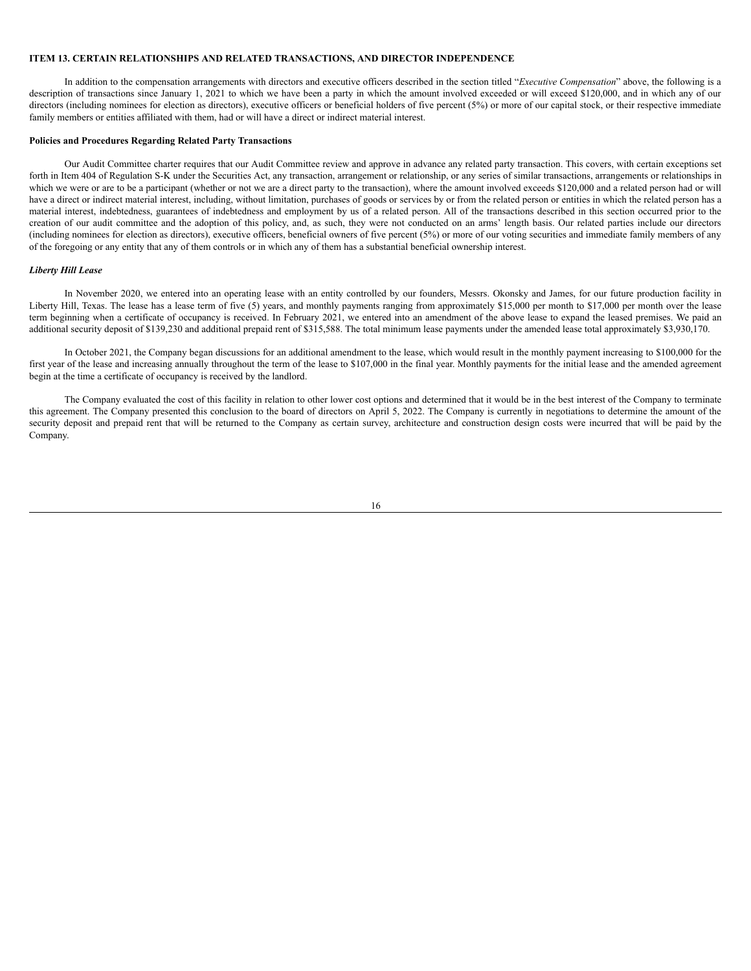#### **ITEM 13. CERTAIN RELATIONSHIPS AND RELATED TRANSACTIONS, AND DIRECTOR INDEPENDENCE**

In addition to the compensation arrangements with directors and executive officers described in the section titled "*Executive Compensation*" above, the following is a description of transactions since January 1, 2021 to which we have been a party in which the amount involved exceeded or will exceed \$120,000, and in which any of our directors (including nominees for election as directors), executive officers or beneficial holders of five percent (5%) or more of our capital stock, or their respective immediate family members or entities affiliated with them, had or will have a direct or indirect material interest.

#### **Policies and Procedures Regarding Related Party Transactions**

Our Audit Committee charter requires that our Audit Committee review and approve in advance any related party transaction. This covers, with certain exceptions set forth in Item 404 of Regulation S-K under the Securities Act, any transaction, arrangement or relationship, or any series of similar transactions, arrangements or relationships in which we were or are to be a participant (whether or not we are a direct party to the transaction), where the amount involved exceeds \$120,000 and a related person had or will have a direct or indirect material interest, including, without limitation, purchases of goods or services by or from the related person or entities in which the related person has a material interest, indebtedness, guarantees of indebtedness and employment by us of a related person. All of the transactions described in this section occurred prior to the creation of our audit committee and the adoption of this policy, and, as such, they were not conducted on an arms' length basis. Our related parties include our directors (including nominees for election as directors), executive officers, beneficial owners of five percent (5%) or more of our voting securities and immediate family members of any of the foregoing or any entity that any of them controls or in which any of them has a substantial beneficial ownership interest.

## *Liberty Hill Lease*

In November 2020, we entered into an operating lease with an entity controlled by our founders, Messrs. Okonsky and James, for our future production facility in Liberty Hill, Texas. The lease has a lease term of five (5) years, and monthly payments ranging from approximately \$15,000 per month to \$17,000 per month over the lease term beginning when a certificate of occupancy is received. In February 2021, we entered into an amendment of the above lease to expand the leased premises. We paid an additional security deposit of \$139,230 and additional prepaid rent of \$315,588. The total minimum lease payments under the amended lease total approximately \$3,930,170.

In October 2021, the Company began discussions for an additional amendment to the lease, which would result in the monthly payment increasing to \$100,000 for the first year of the lease and increasing annually throughout the term of the lease to \$107,000 in the final year. Monthly payments for the initial lease and the amended agreement begin at the time a certificate of occupancy is received by the landlord.

The Company evaluated the cost of this facility in relation to other lower cost options and determined that it would be in the best interest of the Company to terminate this agreement. The Company presented this conclusion to the board of directors on April 5, 2022. The Company is currently in negotiations to determine the amount of the security deposit and prepaid rent that will be returned to the Company as certain survey, architecture and construction design costs were incurred that will be paid by the Company.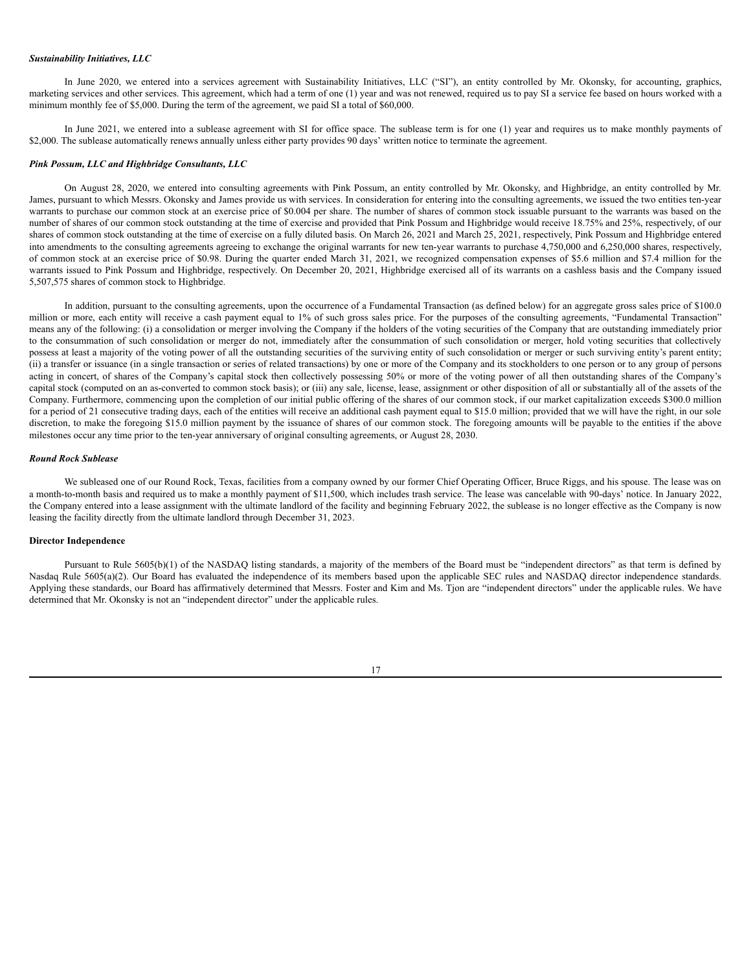#### *Sustainability Initiatives, LLC*

In June 2020, we entered into a services agreement with Sustainability Initiatives, LLC ("SI"), an entity controlled by Mr. Okonsky, for accounting, graphics, marketing services and other services. This agreement, which had a term of one (1) year and was not renewed, required us to pay SI a service fee based on hours worked with a minimum monthly fee of \$5,000. During the term of the agreement, we paid SI a total of \$60,000.

In June 2021, we entered into a sublease agreement with SI for office space. The sublease term is for one (1) year and requires us to make monthly payments of \$2,000. The sublease automatically renews annually unless either party provides 90 days' written notice to terminate the agreement.

#### *Pink Possum, LLC and Highbridge Consultants, LLC*

On August 28, 2020, we entered into consulting agreements with Pink Possum, an entity controlled by Mr. Okonsky, and Highbridge, an entity controlled by Mr. James, pursuant to which Messrs. Okonsky and James provide us with services. In consideration for entering into the consulting agreements, we issued the two entities ten-year warrants to purchase our common stock at an exercise price of \$0.004 per share. The number of shares of common stock issuable pursuant to the warrants was based on the number of shares of our common stock outstanding at the time of exercise and provided that Pink Possum and Highbridge would receive 18.75% and 25%, respectively, of our shares of common stock outstanding at the time of exercise on a fully diluted basis. On March 26, 2021 and March 25, 2021, respectively, Pink Possum and Highbridge entered into amendments to the consulting agreements agreeing to exchange the original warrants for new ten-year warrants to purchase 4,750,000 and 6,250,000 shares, respectively, of common stock at an exercise price of \$0.98. During the quarter ended March 31, 2021, we recognized compensation expenses of \$5.6 million and \$7.4 million for the warrants issued to Pink Possum and Highbridge, respectively. On December 20, 2021, Highbridge exercised all of its warrants on a cashless basis and the Company issued 5,507,575 shares of common stock to Highbridge.

In addition, pursuant to the consulting agreements, upon the occurrence of a Fundamental Transaction (as defined below) for an aggregate gross sales price of \$100.0 million or more, each entity will receive a cash payment equal to 1% of such gross sales price. For the purposes of the consulting agreements, "Fundamental Transaction" means any of the following: (i) a consolidation or merger involving the Company if the holders of the voting securities of the Company that are outstanding immediately prior to the consummation of such consolidation or merger do not, immediately after the consummation of such consolidation or merger, hold voting securities that collectively possess at least a majority of the voting power of all the outstanding securities of the surviving entity of such consolidation or merger or such surviving entity's parent entity; (ii) a transfer or issuance (in a single transaction or series of related transactions) by one or more of the Company and its stockholders to one person or to any group of persons acting in concert, of shares of the Company's capital stock then collectively possessing 50% or more of the voting power of all then outstanding shares of the Company's capital stock (computed on an as-converted to common stock basis); or (iii) any sale, license, lease, assignment or other disposition of all or substantially all of the assets of the Company. Furthermore, commencing upon the completion of our initial public offering of the shares of our common stock, if our market capitalization exceeds \$300.0 million for a period of 21 consecutive trading days, each of the entities will receive an additional cash payment equal to \$15.0 million; provided that we will have the right, in our sole discretion, to make the foregoing \$15.0 million payment by the issuance of shares of our common stock. The foregoing amounts will be payable to the entities if the above milestones occur any time prior to the ten-year anniversary of original consulting agreements, or August 28, 2030.

#### *Round Rock Sublease*

We subleased one of our Round Rock, Texas, facilities from a company owned by our former Chief Operating Officer, Bruce Riggs, and his spouse. The lease was on a month-to-month basis and required us to make a monthly payment of \$11,500, which includes trash service. The lease was cancelable with 90-days' notice. In January 2022, the Company entered into a lease assignment with the ultimate landlord of the facility and beginning February 2022, the sublease is no longer effective as the Company is now leasing the facility directly from the ultimate landlord through December 31, 2023.

#### **Director Independence**

Pursuant to Rule 5605(b)(1) of the NASDAQ listing standards, a majority of the members of the Board must be "independent directors" as that term is defined by Nasdaq Rule 5605(a)(2). Our Board has evaluated the independence of its members based upon the applicable SEC rules and NASDAQ director independence standards. Applying these standards, our Board has affirmatively determined that Messrs. Foster and Kim and Ms. Tjon are "independent directors" under the applicable rules. We have determined that Mr. Okonsky is not an "independent director" under the applicable rules.

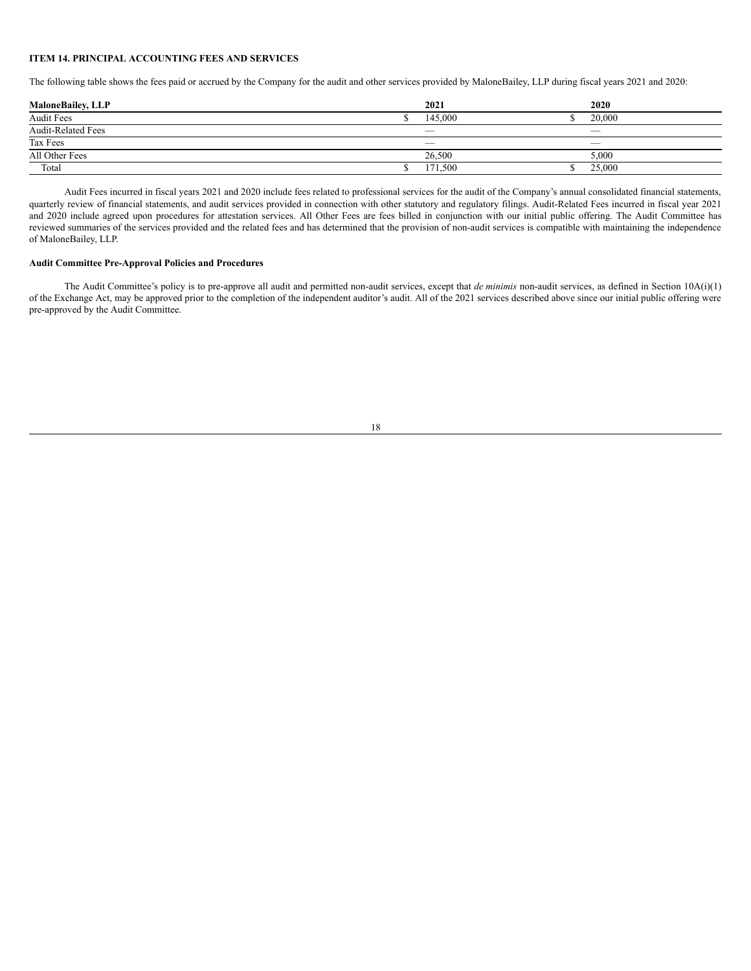#### <span id="page-20-0"></span>**ITEM 14. PRINCIPAL ACCOUNTING FEES AND SERVICES**

The following table shows the fees paid or accrued by the Company for the audit and other services provided by MaloneBailey, LLP during fiscal years 2021 and 2020:

| <b>MaloneBailey, LLP</b>  | 2021    | 2020   |
|---------------------------|---------|--------|
| <b>Audit Fees</b>         | 145,000 | 20,000 |
| <b>Audit-Related Fees</b> |         |        |
| Tax Fees                  |         |        |
| All Other Fees            | 26.500  | 5,000  |
| Total                     | 171,500 | 25,000 |

Audit Fees incurred in fiscal years 2021 and 2020 include fees related to professional services for the audit of the Company's annual consolidated financial statements, quarterly review of financial statements, and audit services provided in connection with other statutory and regulatory filings. Audit-Related Fees incurred in fiscal year 2021 and 2020 include agreed upon procedures for attestation services. All Other Fees are fees billed in conjunction with our initial public offering. The Audit Committee has reviewed summaries of the services provided and the related fees and has determined that the provision of non-audit services is compatible with maintaining the independence of MaloneBailey, LLP.

## **Audit Committee Pre-Approval Policies and Procedures**

The Audit Committee's policy is to pre-approve all audit and permitted non-audit services, except that *de minimis* non-audit services, as defined in Section 10A(i)(1) of the Exchange Act, may be approved prior to the completion of the independent auditor's audit. All of the 2021 services described above since our initial public offering were pre-approved by the Audit Committee.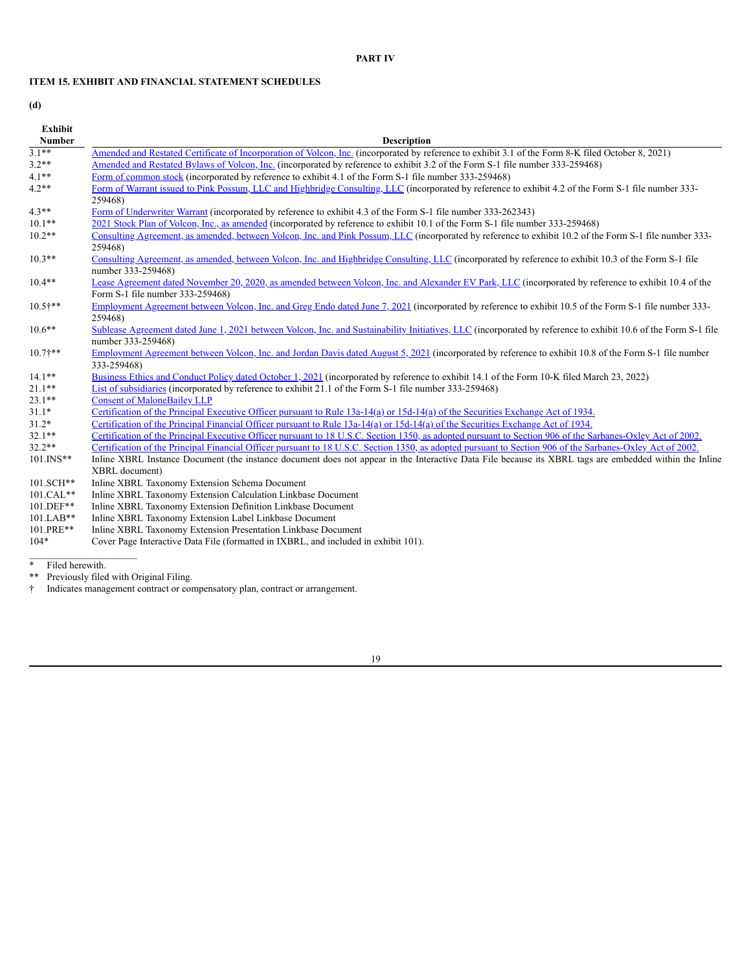## **PART IV**

## <span id="page-21-0"></span>**ITEM 15. EXHIBIT AND FINANCIAL STATEMENT SCHEDULES**

**(d)**

| <b>Exhibit</b> |                                                                                                                                                                                           |
|----------------|-------------------------------------------------------------------------------------------------------------------------------------------------------------------------------------------|
| <b>Number</b>  | <b>Description</b>                                                                                                                                                                        |
| $3.1***$       | Amended and Restated Certificate of Incorporation of Volcon, Inc. (incorporated by reference to exhibit 3.1 of the Form 8-K filed October 8, 2021)                                        |
| $3.2**$        | Amended and Restated Bylaws of Volcon, Inc. (incorporated by reference to exhibit 3.2 of the Form S-1 file number 333-259468)                                                             |
| $4.1**$        | Form of common stock (incorporated by reference to exhibit 4.1 of the Form S-1 file number 333-259468)                                                                                    |
| $4.2**$        | Form of Warrant issued to Pink Possum, LLC and Highbridge Consulting, LLC (incorporated by reference to exhibit 4.2 of the Form S-1 file number 333-<br>259468)                           |
| $4.3**$        | Form of Underwriter Warrant (incorporated by reference to exhibit 4.3 of the Form S-1 file number 333-262343)                                                                             |
| $10.1**$       | 2021 Stock Plan of Volcon, Inc., as amended (incorporated by reference to exhibit 10.1 of the Form S-1 file number 333-259468)                                                            |
| $10.2**$       | Consulting Agreement, as amended, between Volcon, Inc. and Pink Possum, LLC (incorporated by reference to exhibit 10.2 of the Form S-1 file number 333-<br>259468)                        |
| $10.3**$       | Consulting Agreement, as amended, between Volcon, Inc. and Highbridge Consulting, LLC (incorporated by reference to exhibit 10.3 of the Form S-1 file<br>number 333-259468)               |
| $10.4**$       | Lease Agreement dated November 20, 2020, as amended between Volcon, Inc. and Alexander EV Park, LLC (incorporated by reference to exhibit 10.4 of the<br>Form S-1 file number 333-259468) |
| $10.5$ †**     | Employment Agreement between Volcon, Inc. and Greg Endo dated June 7, 2021 (incorporated by reference to exhibit 10.5 of the Form S-1 file number 333-<br>259468)                         |
| $10.6***$      | Sublease Agreement dated June 1, 2021 between Volcon, Inc. and Sustainability Initiatives, LLC (incorporated by reference to exhibit 10.6 of the Form S-1 file<br>number 333-259468)      |
| $10.7$ ***     | Employment Agreement between Volcon, Inc. and Jordan Davis dated August 5, 2021 (incorporated by reference to exhibit 10.8 of the Form S-1 file number<br>333-259468)                     |
| $14.1**$       | Business Ethics and Conduct Policy dated October 1, 2021 (incorporated by reference to exhibit 14.1 of the Form 10-K filed March 23, 2022)                                                |
| $21.1**$       | List of subsidiaries (incorporated by reference to exhibit 21.1 of the Form S-1 file number 333-259468)                                                                                   |
| $23.1**$       | <b>Consent of MaloneBailey LLP</b>                                                                                                                                                        |
| $31.1*$        | Certification of the Principal Executive Officer pursuant to Rule 13a-14(a) or 15d-14(a) of the Securities Exchange Act of 1934.                                                          |
| $31.2*$        | Certification of the Principal Financial Officer pursuant to Rule 13a-14(a) or 15d-14(a) of the Securities Exchange Act of 1934.                                                          |
| $32.1**$       | Certification of the Principal Executive Officer pursuant to 18 U.S.C. Section 1350, as adopted pursuant to Section 906 of the Sarbanes-Oxley Act of 2002.                                |
| $32.2**$       | Certification of the Principal Financial Officer pursuant to 18 U.S.C. Section 1350, as adopted pursuant to Section 906 of the Sarbanes-Oxley Act of 2002.                                |
| $101.$ INS**   | Inline XBRL Instance Document (the instance document does not appear in the Interactive Data File because its XBRL tags are embedded within the Inline                                    |
|                | XBRL document)                                                                                                                                                                            |
| 101.SCH**      | Inline XBRL Taxonomy Extension Schema Document                                                                                                                                            |
| 101.CAL**      | Inline XBRL Taxonomy Extension Calculation Linkbase Document                                                                                                                              |
| 101.DEF**      | Inline XBRL Taxonomy Extension Definition Linkbase Document                                                                                                                               |
| 101.LAB**      | Inline XBRL Taxonomy Extension Label Linkbase Document                                                                                                                                    |
| 101.PRE**      | Inline XBRL Taxonomy Extension Presentation Linkbase Document                                                                                                                             |
| 1044           | <b>DECATE CONTRACTS OF A STRANDENT CONTRACTS AND A STRANDENT CONTRACTS</b>                                                                                                                |

104\* Cover Page Interactive Data File (formatted in IXBRL, and included in exhibit 101).

\* Filed herewith.

\_\_\_\_\_\_\_\_\_\_\_\_\_\_\_\_\_\_\_\_\_\_

\*\* Previously filed with Original Filing.

<sup>†</sup> Indicates management contract or compensatory plan, contract or arrangement.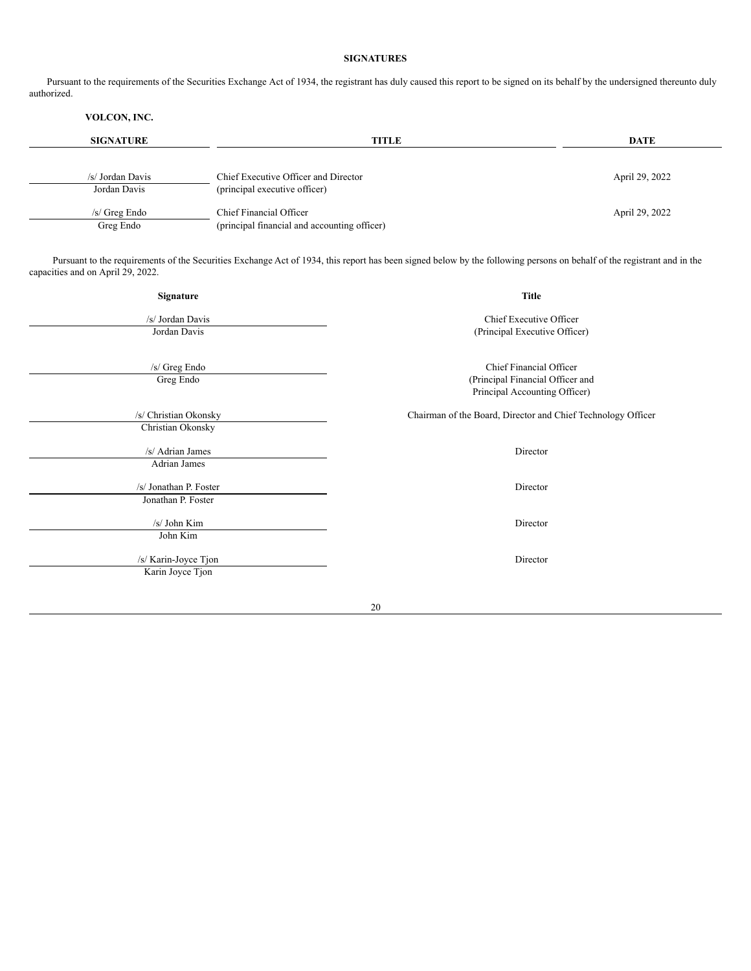## **SIGNATURES**

<span id="page-22-0"></span>Pursuant to the requirements of the Securities Exchange Act of 1934, the registrant has duly caused this report to be signed on its behalf by the undersigned thereunto duly authorized.

## **VOLCON, INC.**

| <b>SIGNATURE</b>                 | <b>TITLE</b>                                                          | <b>DATE</b>    |
|----------------------------------|-----------------------------------------------------------------------|----------------|
| /s/ Jordan Davis<br>Jordan Davis | Chief Executive Officer and Director<br>(principal executive officer) | April 29, 2022 |
| $/s$ Greg Endo                   | Chief Financial Officer                                               | April 29, 2022 |
| Greg Endo                        | (principal financial and accounting officer)                          |                |

Pursuant to the requirements of the Securities Exchange Act of 1934, this report has been signed below by the following persons on behalf of the registrant and in the capacities and on April 29, 2022.

| <b>Title</b>                                                 |  |
|--------------------------------------------------------------|--|
| Chief Executive Officer                                      |  |
| (Principal Executive Officer)                                |  |
|                                                              |  |
| Chief Financial Officer                                      |  |
| (Principal Financial Officer and                             |  |
| Principal Accounting Officer)                                |  |
| Chairman of the Board, Director and Chief Technology Officer |  |
|                                                              |  |
| Director                                                     |  |
|                                                              |  |
| Director                                                     |  |
|                                                              |  |
| Director                                                     |  |
|                                                              |  |
|                                                              |  |
| Director                                                     |  |
|                                                              |  |
|                                                              |  |
|                                                              |  |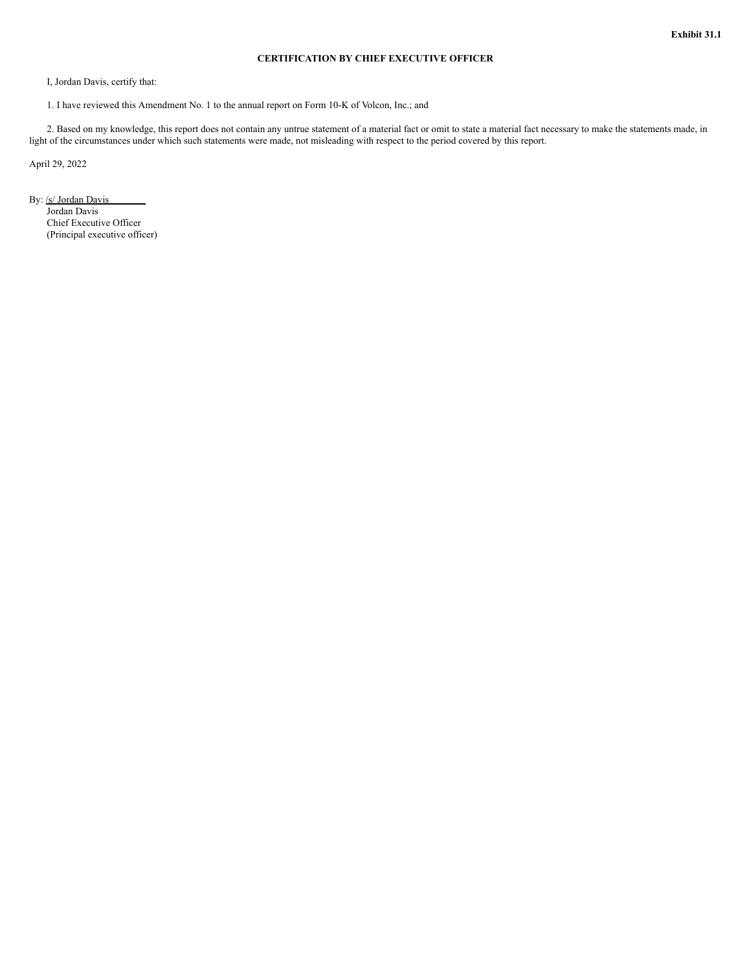## **CERTIFICATION BY CHIEF EXECUTIVE OFFICER**

I, Jordan Davis, certify that:

1. I have reviewed this Amendment No. 1 to the annual report on Form 10-K of Volcon, Inc.; and

2. Based on my knowledge, this report does not contain any untrue statement of a material fact or omit to state a material fact necessary to make the statements made, in light of the circumstances under which such statements were made, not misleading with respect to the period covered by this report.

April 29, 2022

By: /s/ Jordan Davis Jordan Davis Chief Executive Officer (Principal executive officer)